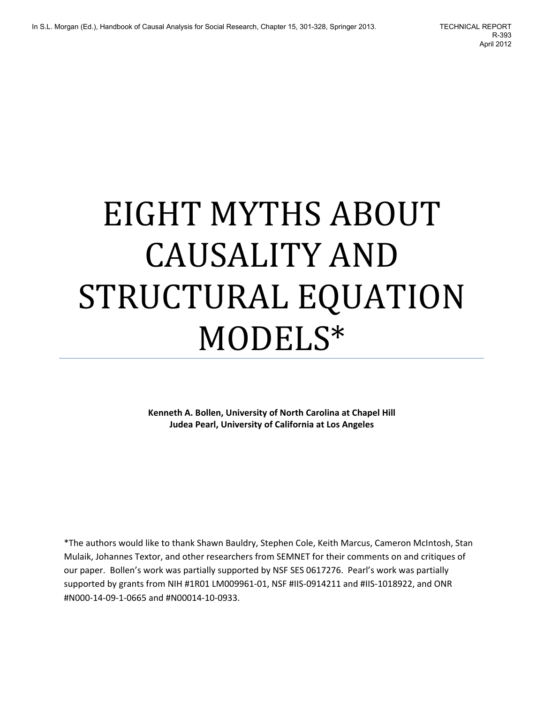## EIGHT MYTHS ABOUT CAUSALITY AND STRUCTURAL EQUATION MODELS\*

**Kenneth A. Bollen, University of North Carolina at Chapel Hill Judea Pearl, University of California at Los Angeles**

\*The authors would like to thank Shawn Bauldry, Stephen Cole, Keith Marcus, Cameron McIntosh, Stan Mulaik, Johannes Textor, and other researchers from SEMNET for their comments on and critiques of our paper. Bollen's work was partially supported by NSF SES 0617276. Pearl's work was partially supported by grants from NIH #1R01 LM009961‐01, NSF #IIS‐0914211 and #IIS‐1018922, and ONR #N000‐14‐09‐1‐0665 and #N00014‐10‐0933.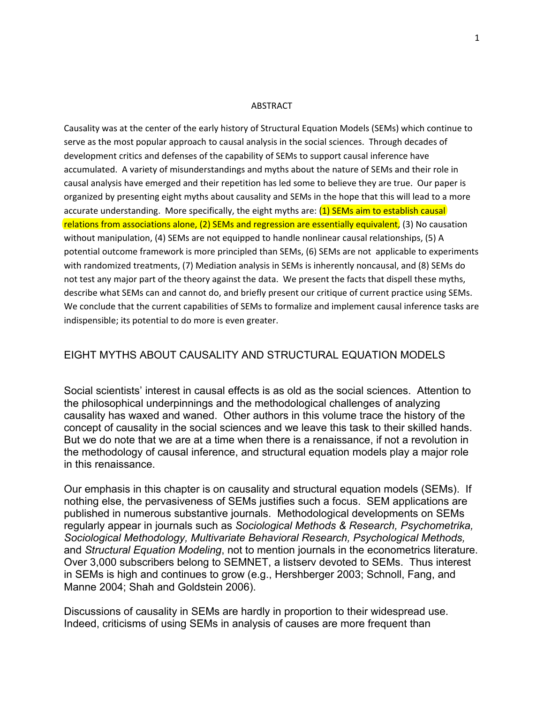#### ABSTRACT

Causality was at the center of the early history of Structural Equation Models (SEMs) which continue to serve as the most popular approach to causal analysis in the social sciences. Through decades of development critics and defenses of the capability of SEMs to support causal inference have accumulated. A variety of misunderstandings and myths about the nature of SEMs and their role in causal analysis have emerged and their repetition has led some to believe they are true. Our paper is organized by presenting eight myths about causality and SEMs in the hope that this will lead to a more accurate understanding. More specifically, the eight myths are: (1) SEMs aim to establish causal relations from associations alone, (2) SEMs and regression are essentially equivalent, (3) No causation without manipulation, (4) SEMs are not equipped to handle nonlinear causal relationships, (5) A potential outcome framework is more principled than SEMs, (6) SEMs are not applicable to experiments with randomized treatments, (7) Mediation analysis in SEMs is inherently noncausal, and (8) SEMs do not test any major part of the theory against the data. We present the facts that dispell these myths, describe what SEMs can and cannot do, and briefly present our critique of current practice using SEMs. We conclude that the current capabilities of SEMs to formalize and implement causal inference tasks are indispensible; its potential to do more is even greater.

#### EIGHT MYTHS ABOUT CAUSALITY AND STRUCTURAL EQUATION MODELS

Social scientists' interest in causal effects is as old as the social sciences. Attention to the philosophical underpinnings and the methodological challenges of analyzing causality has waxed and waned. Other authors in this volume trace the history of the concept of causality in the social sciences and we leave this task to their skilled hands. But we do note that we are at a time when there is a renaissance, if not a revolution in the methodology of causal inference, and structural equation models play a major role in this renaissance.

Our emphasis in this chapter is on causality and structural equation models (SEMs). If nothing else, the pervasiveness of SEMs justifies such a focus. SEM applications are published in numerous substantive journals. Methodological developments on SEMs regularly appear in journals such as *Sociological Methods & Research, Psychometrika, Sociological Methodology, Multivariate Behavioral Research, Psychological Methods,*  and *Structural Equation Modeling*, not to mention journals in the econometrics literature. Over 3,000 subscribers belong to SEMNET, a listserv devoted to SEMs. Thus interest in SEMs is high and continues to grow (e.g., Hershberger 2003; Schnoll, Fang, and Manne 2004; Shah and Goldstein 2006).

Discussions of causality in SEMs are hardly in proportion to their widespread use. Indeed, criticisms of using SEMs in analysis of causes are more frequent than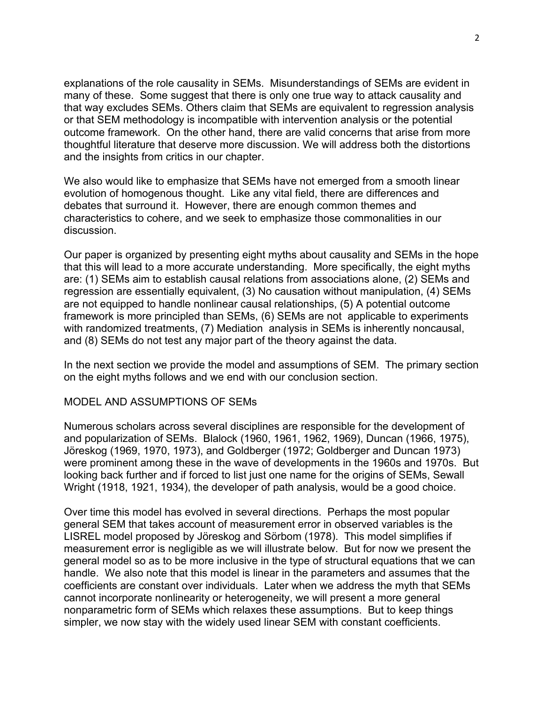explanations of the role causality in SEMs. Misunderstandings of SEMs are evident in many of these. Some suggest that there is only one true way to attack causality and that way excludes SEMs. Others claim that SEMs are equivalent to regression analysis or that SEM methodology is incompatible with intervention analysis or the potential outcome framework. On the other hand, there are valid concerns that arise from more thoughtful literature that deserve more discussion. We will address both the distortions and the insights from critics in our chapter.

We also would like to emphasize that SEMs have not emerged from a smooth linear evolution of homogenous thought. Like any vital field, there are differences and debates that surround it. However, there are enough common themes and characteristics to cohere, and we seek to emphasize those commonalities in our discussion.

Our paper is organized by presenting eight myths about causality and SEMs in the hope that this will lead to a more accurate understanding. More specifically, the eight myths are: (1) SEMs aim to establish causal relations from associations alone, (2) SEMs and regression are essentially equivalent, (3) No causation without manipulation, (4) SEMs are not equipped to handle nonlinear causal relationships, (5) A potential outcome framework is more principled than SEMs, (6) SEMs are not applicable to experiments with randomized treatments, (7) Mediation analysis in SEMs is inherently noncausal, and (8) SEMs do not test any major part of the theory against the data.

In the next section we provide the model and assumptions of SEM. The primary section on the eight myths follows and we end with our conclusion section.

#### MODEL AND ASSUMPTIONS OF SEMs

Numerous scholars across several disciplines are responsible for the development of and popularization of SEMs. Blalock (1960, 1961, 1962, 1969), Duncan (1966, 1975), Jöreskog (1969, 1970, 1973), and Goldberger (1972; Goldberger and Duncan 1973) were prominent among these in the wave of developments in the 1960s and 1970s. But looking back further and if forced to list just one name for the origins of SEMs, Sewall Wright (1918, 1921, 1934), the developer of path analysis, would be a good choice.

Over time this model has evolved in several directions. Perhaps the most popular general SEM that takes account of measurement error in observed variables is the LISREL model proposed by Jöreskog and Sörbom (1978). This model simplifies if measurement error is negligible as we will illustrate below. But for now we present the general model so as to be more inclusive in the type of structural equations that we can handle. We also note that this model is linear in the parameters and assumes that the coefficients are constant over individuals. Later when we address the myth that SEMs cannot incorporate nonlinearity or heterogeneity, we will present a more general nonparametric form of SEMs which relaxes these assumptions. But to keep things simpler, we now stay with the widely used linear SEM with constant coefficients.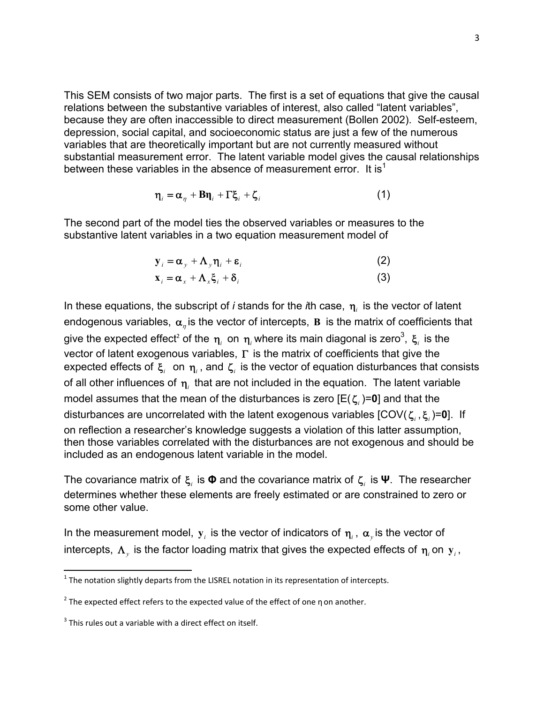This SEM consists of two major parts. The first is a set of equations that give the causal relations between the substantive variables of interest, also called "latent variables", because they are often inaccessible to direct measurement (Bollen 2002). Self-esteem, depression, social capital, and socioeconomic status are just a few of the numerous variables that are theoretically important but are not currently measured without substantial measurement error. The latent variable model gives the causal relationships between these variables in the absence of measurement error. It is<sup>1</sup>

$$
\eta_i = \alpha_{\eta} + B\eta_i + \Gamma\xi_i + \zeta_i \tag{1}
$$

The second part of the model ties the observed variables or measures to the substantive latent variables in a two equation measurement model of

$$
\mathbf{y}_i = \mathbf{\alpha}_y + \mathbf{\Lambda}_y \mathbf{\eta}_i + \mathbf{\varepsilon}_i
$$
 (2)

$$
\mathbf{x}_{i} = \mathbf{\alpha}_{x} + \mathbf{\Lambda}_{x} \boldsymbol{\xi}_{i} + \boldsymbol{\delta}_{i}
$$
 (3)

In these equations, the subscript of *i* stands for the *i*th case,  $\eta_i$  is the vector of latent endogenous variables,  $\alpha_n$  is the vector of intercepts, **B** is the matrix of coefficients that give the expected effect<sup>2</sup> of the  $\bm{\eta}_i$  on  $\bm{\eta}_i$  where its main diagonal is zero $^3$ , ξ $_i$  is the vector of latent exogenous variables,  $\Gamma$  is the matrix of coefficients that give the expected effects of  $\xi$  on  $\eta$ , and  $\zeta$  is the vector of equation disturbances that consists of all other influences of η*i* that are not included in the equation. The latent variable model assumes that the mean of the disturbances is zero  $[E(\zeta_i)=0]$  and that the disturbances are uncorrelated with the latent exogenous variables [COV( *<sup>i</sup>* ζ , *<sup>i</sup>* ξ )=**0**]. If on reflection a researcher's knowledge suggests a violation of this latter assumption, then those variables correlated with the disturbances are not exogenous and should be included as an endogenous latent variable in the model.

The covariance matrix of  $\xi$  is **Φ** and the covariance matrix of  $\zeta$  is **Ψ**. The researcher determines whether these elements are freely estimated or are constrained to zero or some other value.

In the measurement model,  $y_i$  is the vector of indicators of  $\eta_i$ ,  $\alpha_i$  is the vector of intercepts, Λ*y* is the factor loading matrix that gives the expected effects of η*<sup>i</sup>* on **y***<sup>i</sup>* ,

 $^1$  The notation slightly departs from the LISREL notation in its representation of intercepts.

 $2$  The expected effect refers to the expected value of the effect of one n on another.

 $3$  This rules out a variable with a direct effect on itself.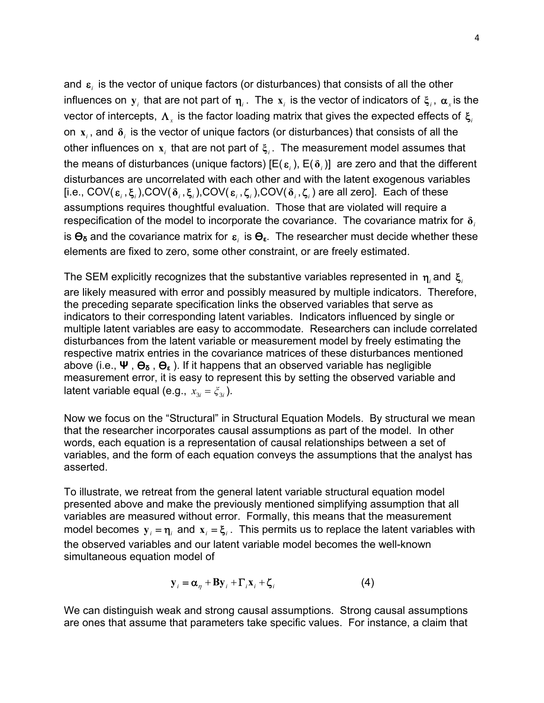and  $\varepsilon$ , is the vector of unique factors (or disturbances) that consists of all the other influences on  $\mathbf{y}_i$  that are not part of  $\mathbf{\eta}_i$ . The  $\mathbf{x}_i$  is the vector of indicators of  $\xi_i$ ,  $\alpha_i$  is the vector of intercepts,  $\Lambda_{\gamma}$  is the factor loading matrix that gives the expected effects of  $\xi$ on **x***<sup>i</sup>* , and **δ***i* is the vector of unique factors (or disturbances) that consists of all the other influences on **x***i* that are not part of *<sup>i</sup>* **ξ** . The measurement model assumes that the means of disturbances (unique factors)  $[E(\varepsilon_i), E(\delta_i)]$  are zero and that the different disturbances are uncorrelated with each other and with the latent exogenous variables  $[i.e., \text{COV}(\varepsilon_i, \xi_i), \text{COV}(\delta_i, \xi_i), \text{COV}(\varepsilon_i, \zeta_i), \text{COV}(\delta_i, \zeta_i)$  are all zero]. Each of these assumptions requires thoughtful evaluation. Those that are violated will require a respecification of the model to incorporate the covariance. The covariance matrix for **δ***<sup>i</sup>* is  $\Theta_{\delta}$  and the covariance matrix for  $\varepsilon$ , is  $\Theta_{\varepsilon}$ . The researcher must decide whether these elements are fixed to zero, some other constraint, or are freely estimated.

The SEM explicitly recognizes that the substantive variables represented in η<sub>*i*</sub> and ξ<sub>*i*</sub> are likely measured with error and possibly measured by multiple indicators. Therefore, the preceding separate specification links the observed variables that serve as indicators to their corresponding latent variables. Indicators influenced by single or multiple latent variables are easy to accommodate. Researchers can include correlated disturbances from the latent variable or measurement model by freely estimating the respective matrix entries in the covariance matrices of these disturbances mentioned above (i.e., **Ψ** , ϴ**δ** , ϴ**ε** ). If it happens that an observed variable has negligible measurement error, it is easy to represent this by setting the observed variable and latent variable equal (e.g.,  $x_{3i} = \xi_{3i}$ ).

Now we focus on the "Structural" in Structural Equation Models. By structural we mean that the researcher incorporates causal assumptions as part of the model. In other words, each equation is a representation of causal relationships between a set of variables, and the form of each equation conveys the assumptions that the analyst has asserted.

To illustrate, we retreat from the general latent variable structural equation model presented above and make the previously mentioned simplifying assumption that all variables are measured without error. Formally, this means that the measurement model becomes  $y_i = \eta_i$  and  $x_i = \xi_i$ . This permits us to replace the latent variables with the observed variables and our latent variable model becomes the well-known simultaneous equation model of

$$
\mathbf{y}_{i} = \mathbf{\alpha}_{\eta} + \mathbf{B}\mathbf{y}_{i} + \mathbf{\Gamma}_{i}\mathbf{x}_{i} + \boldsymbol{\zeta}_{i}
$$
 (4)

We can distinguish weak and strong causal assumptions. Strong causal assumptions are ones that assume that parameters take specific values. For instance, a claim that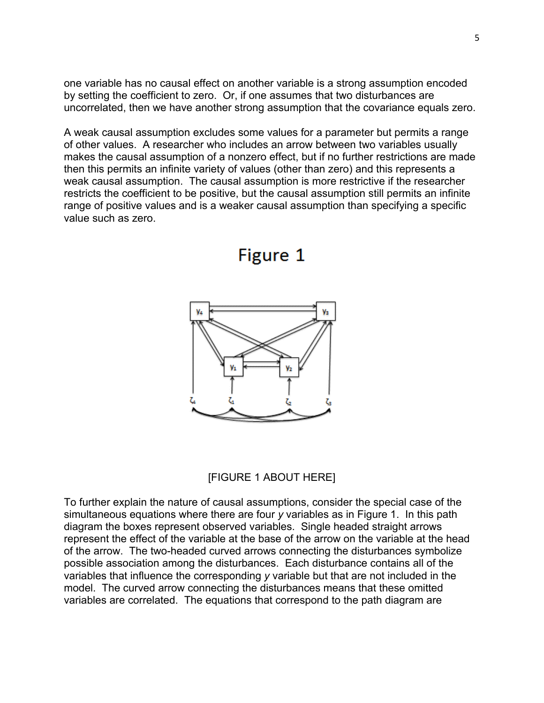one variable has no causal effect on another variable is a strong assumption encoded by setting the coefficient to zero. Or, if one assumes that two disturbances are uncorrelated, then we have another strong assumption that the covariance equals zero.

A weak causal assumption excludes some values for a parameter but permits a range of other values. A researcher who includes an arrow between two variables usually makes the causal assumption of a nonzero effect, but if no further restrictions are made then this permits an infinite variety of values (other than zero) and this represents a weak causal assumption. The causal assumption is more restrictive if the researcher restricts the coefficient to be positive, but the causal assumption still permits an infinite range of positive values and is a weaker causal assumption than specifying a specific value such as zero.



#### [FIGURE 1 ABOUT HERE]

To further explain the nature of causal assumptions, consider the special case of the simultaneous equations where there are four *y* variables as in Figure 1. In this path diagram the boxes represent observed variables. Single headed straight arrows represent the effect of the variable at the base of the arrow on the variable at the head of the arrow. The two-headed curved arrows connecting the disturbances symbolize possible association among the disturbances. Each disturbance contains all of the variables that influence the corresponding *y* variable but that are not included in the model. The curved arrow connecting the disturbances means that these omitted variables are correlated. The equations that correspond to the path diagram are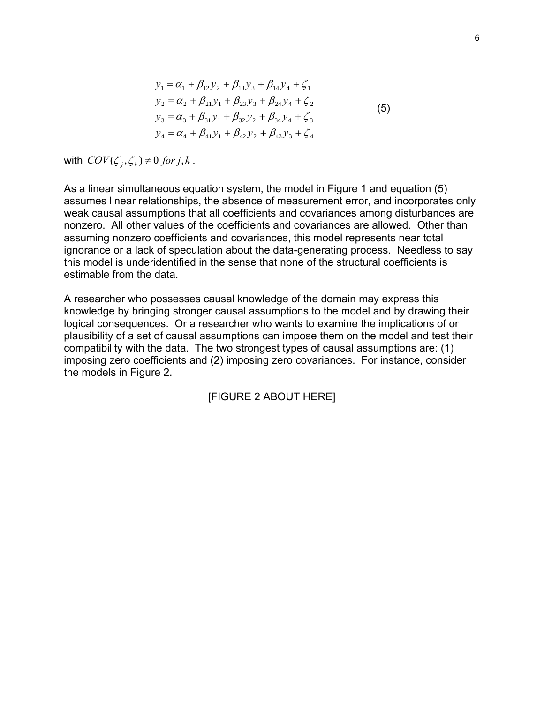$$
y_1 = \alpha_1 + \beta_{12}y_2 + \beta_{13}y_3 + \beta_{14}y_4 + \zeta_1
$$
  
\n
$$
y_2 = \alpha_2 + \beta_{21}y_1 + \beta_{23}y_3 + \beta_{24}y_4 + \zeta_2
$$
  
\n
$$
y_3 = \alpha_3 + \beta_{31}y_1 + \beta_{32}y_2 + \beta_{34}y_4 + \zeta_3
$$
  
\n
$$
y_4 = \alpha_4 + \beta_{41}y_1 + \beta_{42}y_2 + \beta_{43}y_3 + \zeta_4
$$
\n(5)

with  $COV(\zeta_i, \zeta_k) \neq 0$  for j, k.

As a linear simultaneous equation system, the model in Figure 1 and equation (5) assumes linear relationships, the absence of measurement error, and incorporates only weak causal assumptions that all coefficients and covariances among disturbances are nonzero. All other values of the coefficients and covariances are allowed. Other than assuming nonzero coefficients and covariances, this model represents near total ignorance or a lack of speculation about the data-generating process. Needless to say this model is underidentified in the sense that none of the structural coefficients is estimable from the data.

A researcher who possesses causal knowledge of the domain may express this knowledge by bringing stronger causal assumptions to the model and by drawing their logical consequences. Or a researcher who wants to examine the implications of or plausibility of a set of causal assumptions can impose them on the model and test their compatibility with the data. The two strongest types of causal assumptions are: (1) imposing zero coefficients and (2) imposing zero covariances. For instance, consider the models in Figure 2.

[FIGURE 2 ABOUT HERE]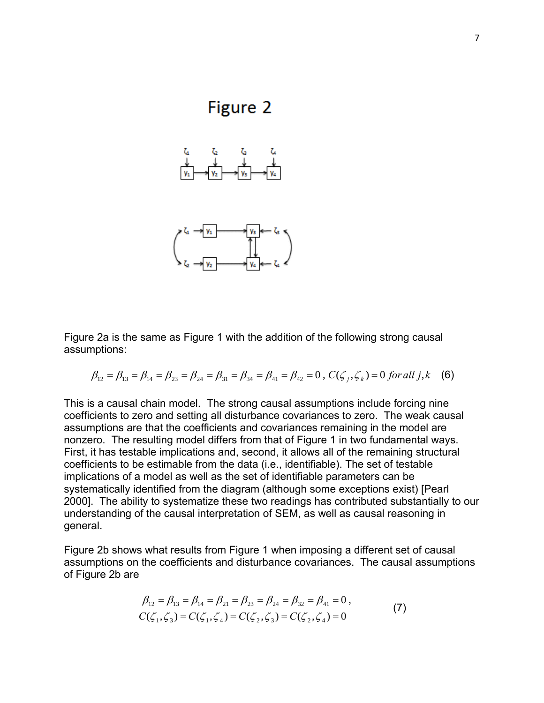## Figure 2





Figure 2a is the same as Figure 1 with the addition of the following strong causal assumptions:

$$
\beta_{12} = \beta_{13} = \beta_{14} = \beta_{23} = \beta_{24} = \beta_{31} = \beta_{34} = \beta_{41} = \beta_{42} = 0
$$
,  $C(\zeta_j, \zeta_k) = 0$  for all j, k (6)

This is a causal chain model. The strong causal assumptions include forcing nine coefficients to zero and setting all disturbance covariances to zero. The weak causal assumptions are that the coefficients and covariances remaining in the model are nonzero. The resulting model differs from that of Figure 1 in two fundamental ways. First, it has testable implications and, second, it allows all of the remaining structural coefficients to be estimable from the data (i.e., identifiable). The set of testable implications of a model as well as the set of identifiable parameters can be systematically identified from the diagram (although some exceptions exist) [Pearl 2000]. The ability to systematize these two readings has contributed substantially to our understanding of the causal interpretation of SEM, as well as causal reasoning in general.

Figure 2b shows what results from Figure 1 when imposing a different set of causal assumptions on the coefficients and disturbance covariances. The causal assumptions of Figure 2b are

$$
\beta_{12} = \beta_{13} = \beta_{14} = \beta_{21} = \beta_{23} = \beta_{24} = \beta_{32} = \beta_{41} = 0,
$$
  
\n
$$
C(\zeta_1, \zeta_3) = C(\zeta_1, \zeta_4) = C(\zeta_2, \zeta_3) = C(\zeta_2, \zeta_4) = 0
$$
\n(7)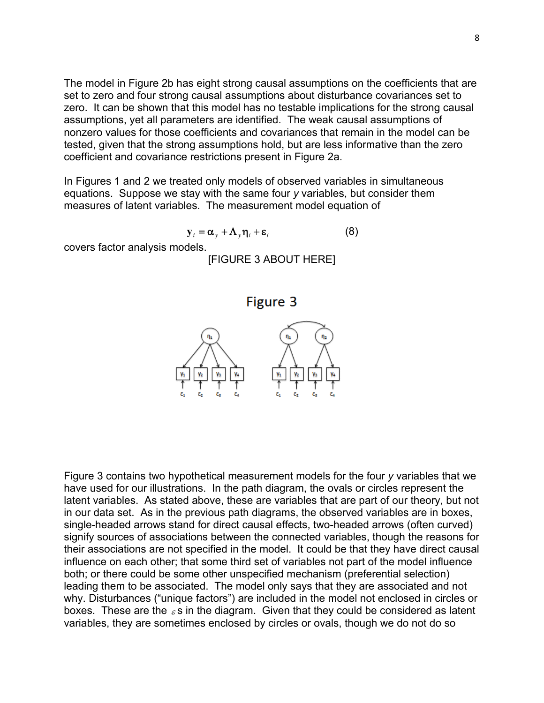The model in Figure 2b has eight strong causal assumptions on the coefficients that are set to zero and four strong causal assumptions about disturbance covariances set to zero. It can be shown that this model has no testable implications for the strong causal assumptions, yet all parameters are identified. The weak causal assumptions of nonzero values for those coefficients and covariances that remain in the model can be tested, given that the strong assumptions hold, but are less informative than the zero coefficient and covariance restrictions present in Figure 2a.

In Figures 1 and 2 we treated only models of observed variables in simultaneous equations. Suppose we stay with the same four *y* variables, but consider them measures of latent variables. The measurement model equation of

$$
\mathbf{y}_{i} = \mathbf{\alpha}_{y} + \mathbf{\Lambda}_{y} \mathbf{\eta}_{i} + \mathbf{\varepsilon}_{i}
$$
 (8)

covers factor analysis models.

[FIGURE 3 ABOUT HERE]



Figure 3 contains two hypothetical measurement models for the four *y* variables that we have used for our illustrations. In the path diagram, the ovals or circles represent the latent variables. As stated above, these are variables that are part of our theory, but not in our data set. As in the previous path diagrams, the observed variables are in boxes, single-headed arrows stand for direct causal effects, two-headed arrows (often curved) signify sources of associations between the connected variables, though the reasons for their associations are not specified in the model. It could be that they have direct causal influence on each other; that some third set of variables not part of the model influence both; or there could be some other unspecified mechanism (preferential selection) leading them to be associated. The model only says that they are associated and not why. Disturbances ("unique factors") are included in the model not enclosed in circles or boxes. These are the  $\epsilon$  s in the diagram. Given that they could be considered as latent variables, they are sometimes enclosed by circles or ovals, though we do not do so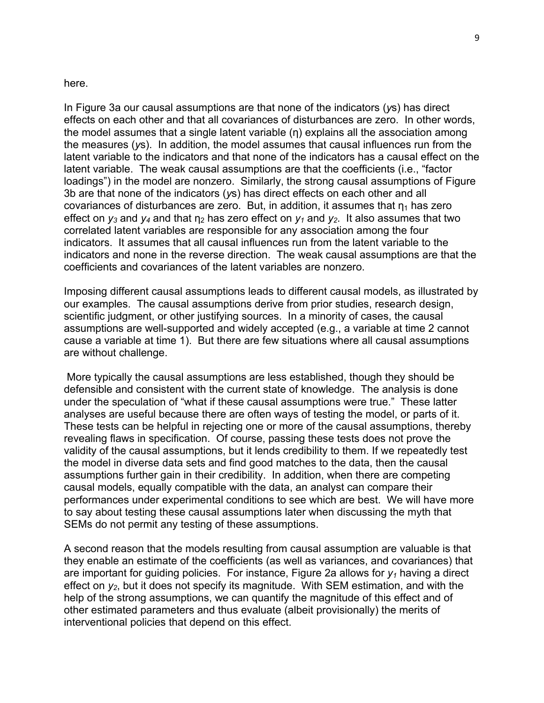#### here.

In Figure 3a our causal assumptions are that none of the indicators (*y*s) has direct effects on each other and that all covariances of disturbances are zero. In other words, the model assumes that a single latent variable (η) explains all the association among the measures (*y*s). In addition, the model assumes that causal influences run from the latent variable to the indicators and that none of the indicators has a causal effect on the latent variable. The weak causal assumptions are that the coefficients (i.e., "factor loadings") in the model are nonzero. Similarly, the strong causal assumptions of Figure 3b are that none of the indicators (*y*s) has direct effects on each other and all covariances of disturbances are zero. But, in addition, it assumes that  $n_1$  has zero effect on  $y_3$  and  $y_4$  and that  $\eta_2$  has zero effect on  $y_1$  and  $y_2$ . It also assumes that two correlated latent variables are responsible for any association among the four indicators. It assumes that all causal influences run from the latent variable to the indicators and none in the reverse direction. The weak causal assumptions are that the coefficients and covariances of the latent variables are nonzero.

Imposing different causal assumptions leads to different causal models, as illustrated by our examples. The causal assumptions derive from prior studies, research design, scientific judgment, or other justifying sources. In a minority of cases, the causal assumptions are well-supported and widely accepted (e.g., a variable at time 2 cannot cause a variable at time 1). But there are few situations where all causal assumptions are without challenge.

 More typically the causal assumptions are less established, though they should be defensible and consistent with the current state of knowledge. The analysis is done under the speculation of "what if these causal assumptions were true." These latter analyses are useful because there are often ways of testing the model, or parts of it. These tests can be helpful in rejecting one or more of the causal assumptions, thereby revealing flaws in specification. Of course, passing these tests does not prove the validity of the causal assumptions, but it lends credibility to them. If we repeatedly test the model in diverse data sets and find good matches to the data, then the causal assumptions further gain in their credibility. In addition, when there are competing causal models, equally compatible with the data, an analyst can compare their performances under experimental conditions to see which are best. We will have more to say about testing these causal assumptions later when discussing the myth that SEMs do not permit any testing of these assumptions.

A second reason that the models resulting from causal assumption are valuable is that they enable an estimate of the coefficients (as well as variances, and covariances) that are important for guiding policies. For instance, Figure 2a allows for  $y_1$  having a direct effect on *y2*, but it does not specify its magnitude. With SEM estimation, and with the help of the strong assumptions, we can quantify the magnitude of this effect and of other estimated parameters and thus evaluate (albeit provisionally) the merits of interventional policies that depend on this effect.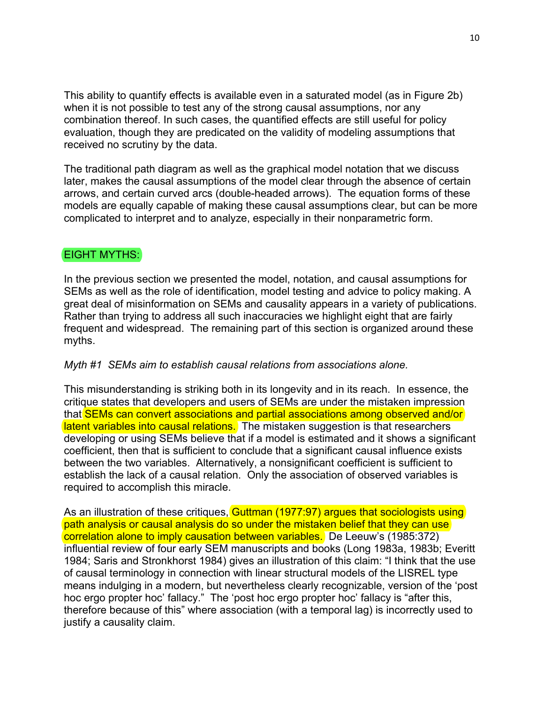This ability to quantify effects is available even in a saturated model (as in Figure 2b) when it is not possible to test any of the strong causal assumptions, nor any combination thereof. In such cases, the quantified effects are still useful for policy evaluation, though they are predicated on the validity of modeling assumptions that received no scrutiny by the data.

The traditional path diagram as well as the graphical model notation that we discuss later, makes the causal assumptions of the model clear through the absence of certain arrows, and certain curved arcs (double-headed arrows). The equation forms of these models are equally capable of making these causal assumptions clear, but can be more complicated to interpret and to analyze, especially in their nonparametric form.

#### EIGHT MYTHS:

In the previous section we presented the model, notation, and causal assumptions for SEMs as well as the role of identification, model testing and advice to policy making. A great deal of misinformation on SEMs and causality appears in a variety of publications. Rather than trying to address all such inaccuracies we highlight eight that are fairly frequent and widespread. The remaining part of this section is organized around these myths.

#### *Myth #1 SEMs aim to establish causal relations from associations alone.*

This misunderstanding is striking both in its longevity and in its reach. In essence, the critique states that developers and users of SEMs are under the mistaken impression that SEMs can convert associations and partial associations among observed and/or latent variables into causal relations. The mistaken suggestion is that researchers developing or using SEMs believe that if a model is estimated and it shows a significant coefficient, then that is sufficient to conclude that a significant causal influence exists between the two variables. Alternatively, a nonsignificant coefficient is sufficient to establish the lack of a causal relation. Only the association of observed variables is required to accomplish this miracle.

As an illustration of these critiques, Guttman (1977:97) argues that sociologists using path analysis or causal analysis do so under the mistaken belief that they can use correlation alone to imply causation between variables. De Leeuw's (1985:372) influential review of four early SEM manuscripts and books (Long 1983a, 1983b; Everitt 1984; Saris and Stronkhorst 1984) gives an illustration of this claim: "I think that the use of causal terminology in connection with linear structural models of the LISREL type means indulging in a modern, but nevertheless clearly recognizable, version of the 'post hoc ergo propter hoc' fallacy." The 'post hoc ergo propter hoc' fallacy is "after this, therefore because of this" where association (with a temporal lag) is incorrectly used to justify a causality claim.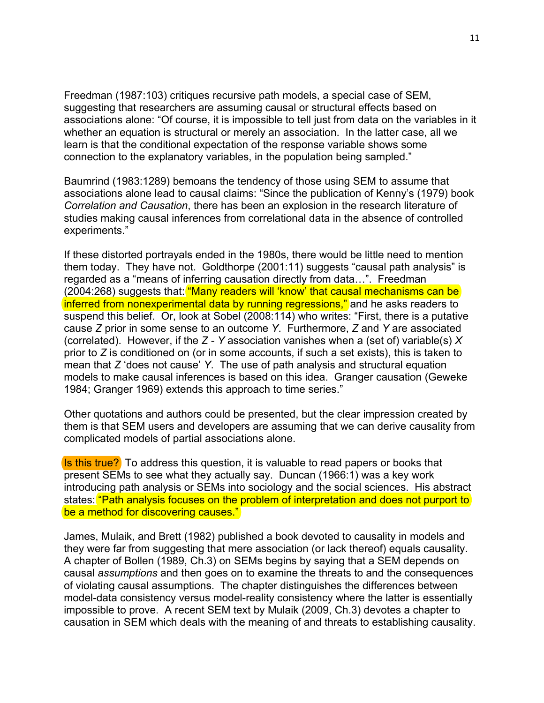Freedman (1987:103) critiques recursive path models, a special case of SEM, suggesting that researchers are assuming causal or structural effects based on associations alone: "Of course, it is impossible to tell just from data on the variables in it whether an equation is structural or merely an association. In the latter case, all we learn is that the conditional expectation of the response variable shows some connection to the explanatory variables, in the population being sampled."

Baumrind (1983:1289) bemoans the tendency of those using SEM to assume that associations alone lead to causal claims: "Since the publication of Kenny's (1979) book *Correlation and Causation*, there has been an explosion in the research literature of studies making causal inferences from correlational data in the absence of controlled experiments."

If these distorted portrayals ended in the 1980s, there would be little need to mention them today. They have not. Goldthorpe (2001:11) suggests "causal path analysis" is regarded as a "means of inferring causation directly from data…". Freedman (2004:268) suggests that: "Many readers will 'know' that causal mechanisms can be inferred from nonexperimental data by running regressions," and he asks readers to suspend this belief. Or, look at Sobel (2008:114) who writes: "First, there is a putative cause *Z* prior in some sense to an outcome *Y*. Furthermore, *Z* and *Y* are associated (correlated). However, if the *Z - Y* association vanishes when a (set of) variable(s) *X* prior to *Z* is conditioned on (or in some accounts, if such a set exists), this is taken to mean that *Z* 'does not cause' *Y*. The use of path analysis and structural equation models to make causal inferences is based on this idea. Granger causation (Geweke 1984; Granger 1969) extends this approach to time series."

Other quotations and authors could be presented, but the clear impression created by them is that SEM users and developers are assuming that we can derive causality from complicated models of partial associations alone.

Is this true? To address this question, it is valuable to read papers or books that present SEMs to see what they actually say. Duncan (1966:1) was a key work introducing path analysis or SEMs into sociology and the social sciences. His abstract states: "Path analysis focuses on the problem of interpretation and does not purport to be a method for discovering causes."

James, Mulaik, and Brett (1982) published a book devoted to causality in models and they were far from suggesting that mere association (or lack thereof) equals causality. A chapter of Bollen (1989, Ch.3) on SEMs begins by saying that a SEM depends on causal *assumptions* and then goes on to examine the threats to and the consequences of violating causal assumptions. The chapter distinguishes the differences between model-data consistency versus model-reality consistency where the latter is essentially impossible to prove. A recent SEM text by Mulaik (2009, Ch.3) devotes a chapter to causation in SEM which deals with the meaning of and threats to establishing causality.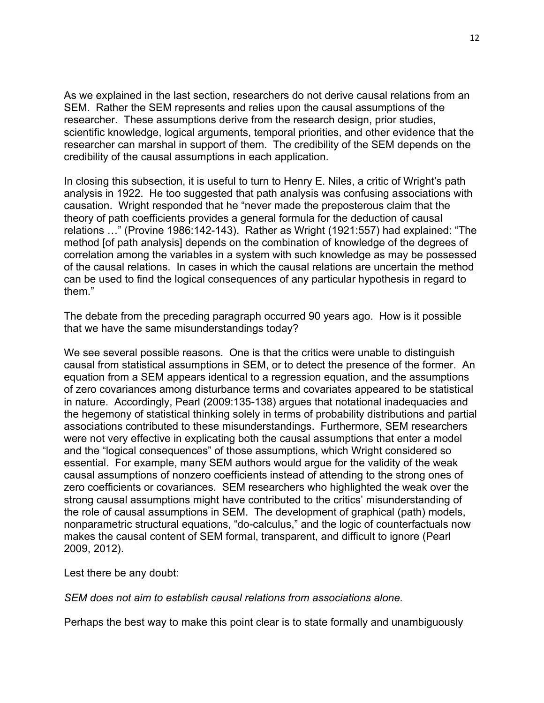As we explained in the last section, researchers do not derive causal relations from an SEM. Rather the SEM represents and relies upon the causal assumptions of the researcher. These assumptions derive from the research design, prior studies, scientific knowledge, logical arguments, temporal priorities, and other evidence that the researcher can marshal in support of them. The credibility of the SEM depends on the credibility of the causal assumptions in each application.

In closing this subsection, it is useful to turn to Henry E. Niles, a critic of Wright's path analysis in 1922. He too suggested that path analysis was confusing associations with causation. Wright responded that he "never made the preposterous claim that the theory of path coefficients provides a general formula for the deduction of causal relations …" (Provine 1986:142-143). Rather as Wright (1921:557) had explained: "The method [of path analysis] depends on the combination of knowledge of the degrees of correlation among the variables in a system with such knowledge as may be possessed of the causal relations. In cases in which the causal relations are uncertain the method can be used to find the logical consequences of any particular hypothesis in regard to them."

The debate from the preceding paragraph occurred 90 years ago. How is it possible that we have the same misunderstandings today?

We see several possible reasons. One is that the critics were unable to distinguish causal from statistical assumptions in SEM, or to detect the presence of the former. An equation from a SEM appears identical to a regression equation, and the assumptions of zero covariances among disturbance terms and covariates appeared to be statistical in nature. Accordingly, Pearl (2009:135-138) argues that notational inadequacies and the hegemony of statistical thinking solely in terms of probability distributions and partial associations contributed to these misunderstandings. Furthermore, SEM researchers were not very effective in explicating both the causal assumptions that enter a model and the "logical consequences" of those assumptions, which Wright considered so essential. For example, many SEM authors would argue for the validity of the weak causal assumptions of nonzero coefficients instead of attending to the strong ones of zero coefficients or covariances. SEM researchers who highlighted the weak over the strong causal assumptions might have contributed to the critics' misunderstanding of the role of causal assumptions in SEM. The development of graphical (path) models, nonparametric structural equations, "do-calculus," and the logic of counterfactuals now makes the causal content of SEM formal, transparent, and difficult to ignore (Pearl 2009, 2012).

Lest there be any doubt:

*SEM does not aim to establish causal relations from associations alone.* 

Perhaps the best way to make this point clear is to state formally and unambiguously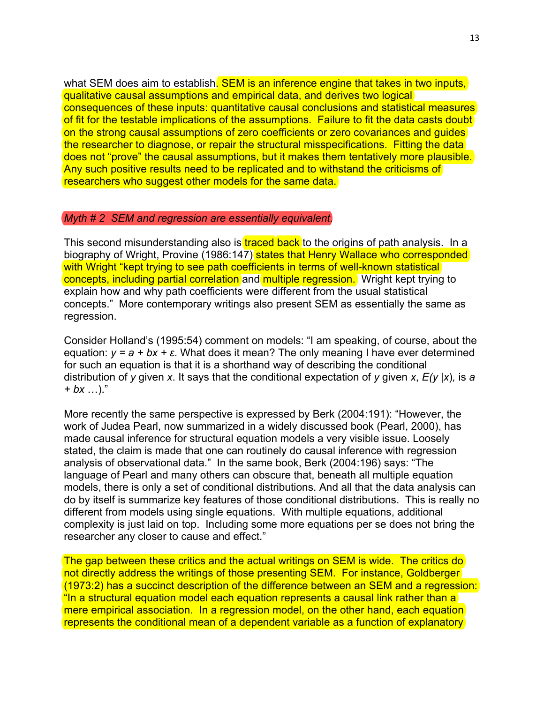what SEM does aim to establish. SEM is an inference engine that takes in two inputs, qualitative causal assumptions and empirical data, and derives two logical consequences of these inputs: quantitative causal conclusions and statistical measures of fit for the testable implications of the assumptions. Failure to fit the data casts doubt on the strong causal assumptions of zero coefficients or zero covariances and guides the researcher to diagnose, or repair the structural misspecifications. Fitting the data does not "prove" the causal assumptions, but it makes them tentatively more plausible. Any such positive results need to be replicated and to withstand the criticisms of researchers who suggest other models for the same data.

#### *Myth # 2 SEM and regression are essentially equivalent.*

This second misunderstanding also is **traced back** to the origins of path analysis. In a biography of Wright, Provine (1986:147) states that Henry Wallace who corresponded with Wright "kept trying to see path coefficients in terms of well-known statistical concepts, including partial correlation and multiple regression. Wright kept trying to explain how and why path coefficients were different from the usual statistical concepts." More contemporary writings also present SEM as essentially the same as regression.

Consider Holland's (1995:54) comment on models: "I am speaking, of course, about the equation: *y = a + bx + ε*. What does it mean? The only meaning I have ever determined for such an equation is that it is a shorthand way of describing the conditional distribution of *y* given *x*. It says that the conditional expectation of *y* given *x*, *E(y |x*)*,* is *a + bx* …)."

More recently the same perspective is expressed by Berk (2004:191): "However, the work of Judea Pearl, now summarized in a widely discussed book (Pearl, 2000), has made causal inference for structural equation models a very visible issue. Loosely stated, the claim is made that one can routinely do causal inference with regression analysis of observational data." In the same book, Berk (2004:196) says: "The language of Pearl and many others can obscure that, beneath all multiple equation models, there is only a set of conditional distributions. And all that the data analysis can do by itself is summarize key features of those conditional distributions. This is really no different from models using single equations. With multiple equations, additional complexity is just laid on top. Including some more equations per se does not bring the researcher any closer to cause and effect."

The gap between these critics and the actual writings on SEM is wide. The critics do not directly address the writings of those presenting SEM. For instance, Goldberger (1973:2) has a succinct description of the difference between an SEM and a regression: "In a structural equation model each equation represents a causal link rather than a mere empirical association. In a regression model, on the other hand, each equation represents the conditional mean of a dependent variable as a function of explanatory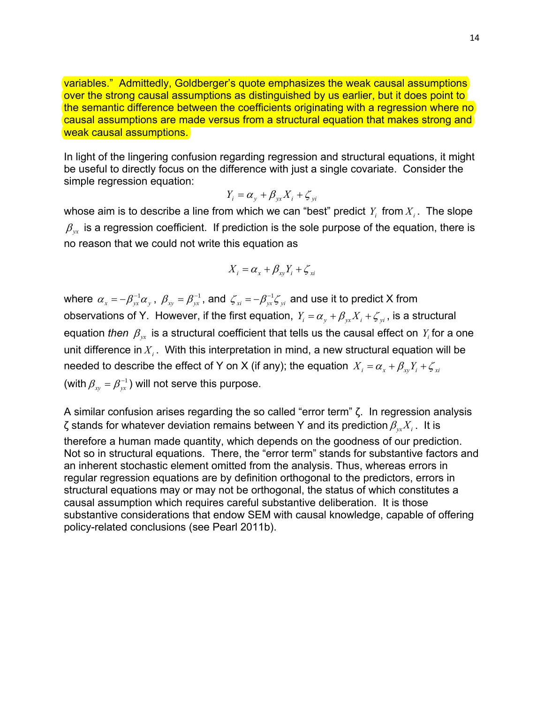variables." Admittedly, Goldberger's quote emphasizes the weak causal assumptions over the strong causal assumptions as distinguished by us earlier, but it does point to the semantic difference between the coefficients originating with a regression where no causal assumptions are made versus from a structural equation that makes strong and weak causal assumptions.

In light of the lingering confusion regarding regression and structural equations, it might be useful to directly focus on the difference with just a single covariate. Consider the simple regression equation:

$$
Y_i = \alpha_y + \beta_{yx} X_i + \zeta_{yi}
$$

whose aim is to describe a line from which we can "best" predict  $Y_i$  from  $X_i$ . The slope  $\beta_{vx}$  is a regression coefficient. If prediction is the sole purpose of the equation, there is no reason that we could not write this equation as

$$
X_i = \alpha_x + \beta_{xy} Y_i + \zeta_{xi}
$$

where  $\alpha_x = -\beta_{yx}^{-1}\alpha_y$ ,  $\beta_{xy} = \beta_{yx}^{-1}$ , and  $\zeta_{xi} = -\beta_{yx}^{-1}\zeta_{yi}$  and use it to predict X from observations of Y. However, if the first equation,  $Y_i = \alpha_v + \beta_{vx} X_i + \zeta_{vi}$ , is a structural equation *then*  $\beta_{yx}$  is a structural coefficient that tells us the causal effect on  $Y_i$  for a one unit difference in  $X_i$ . With this interpretation in mind, a new structural equation will be needed to describe the effect of Y on X (if any); the equation  $X_i = \alpha_x + \beta_{xy}Y_i + \zeta_{xi}$ (with  $\beta_{xy} = \beta_{yx}^{-1}$ ) will not serve this purpose.

A similar confusion arises regarding the so called "error term" ζ. In regression analysis ζ stands for whatever deviation remains between Y and its prediction  $β_{yx}X_i$ . It is therefore a human made quantity, which depends on the goodness of our prediction. Not so in structural equations. There, the "error term" stands for substantive factors and an inherent stochastic element omitted from the analysis. Thus, whereas errors in regular regression equations are by definition orthogonal to the predictors, errors in structural equations may or may not be orthogonal, the status of which constitutes a causal assumption which requires careful substantive deliberation. It is those substantive considerations that endow SEM with causal knowledge, capable of offering policy-related conclusions (see Pearl 2011b).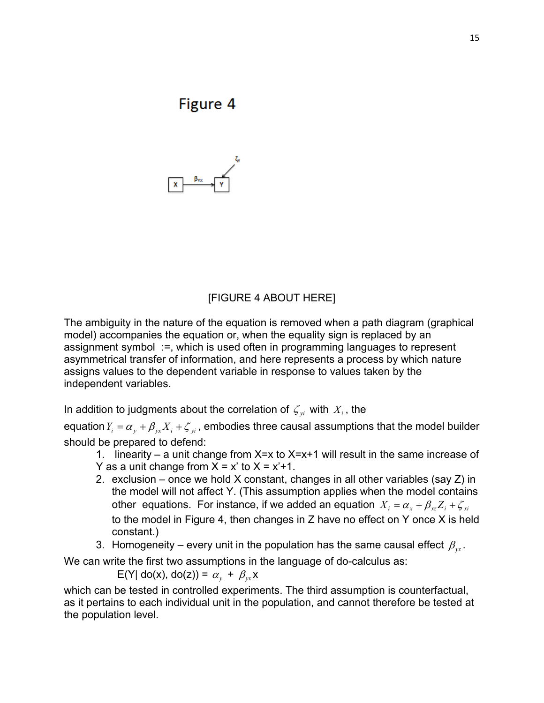## Figure 4



#### [FIGURE 4 ABOUT HERE]

The ambiguity in the nature of the equation is removed when a path diagram (graphical model) accompanies the equation or, when the equality sign is replaced by an assignment symbol :=, which is used often in programming languages to represent asymmetrical transfer of information, and here represents a process by which nature assigns values to the dependent variable in response to values taken by the independent variables.

In addition to judgments about the correlation of  $\zeta_{vi}$  with  $X_i$ , the

equation  $Y_i = \alpha_{y} + \beta_{yx}X_i + \zeta_{yi}$ , embodies three causal assumptions that the model builder should be prepared to defend:

- 1. linearity a unit change from X=x to X=x+1 will result in the same increase of Y as a unit change from  $X = x'$  to  $X = x'+1$ .
- 2. exclusion once we hold X constant, changes in all other variables (say Z) in the model will not affect Y. (This assumption applies when the model contains other equations. For instance, if we added an equation  $X_i = \alpha_x + \beta_x Z_i + \zeta_{xi}$ to the model in Figure 4, then changes in Z have no effect on Y once X is held constant.)
- 3. Homogeneity every unit in the population has the same causal effect  $\beta_{\rm w}$ .

We can write the first two assumptions in the language of do-calculus as:

E(Y| do(x), do(z)) =  $\alpha_v$  +  $\beta_{vx}$ x

which can be tested in controlled experiments. The third assumption is counterfactual, as it pertains to each individual unit in the population, and cannot therefore be tested at the population level.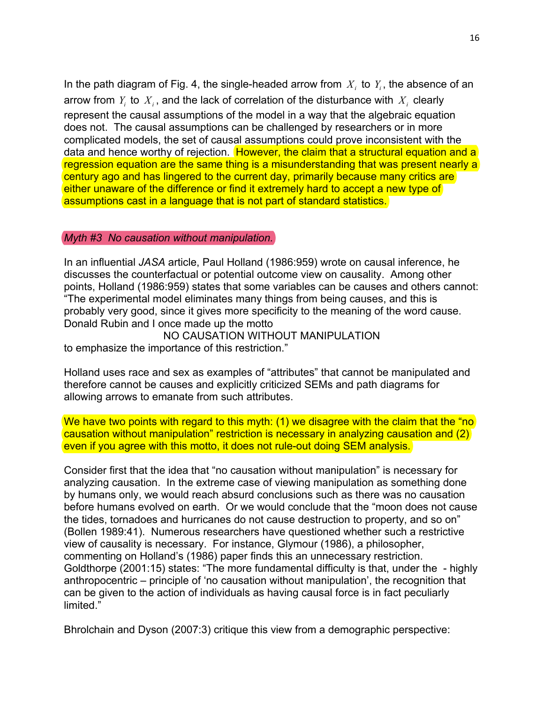In the path diagram of Fig. 4, the single-headed arrow from  $X_i$  to  $Y_i$ , the absence of an arrow from  $Y_i$  to  $X_i$ , and the lack of correlation of the disturbance with  $X_i$  clearly represent the causal assumptions of the model in a way that the algebraic equation does not. The causal assumptions can be challenged by researchers or in more complicated models, the set of causal assumptions could prove inconsistent with the data and hence worthy of rejection. However, the claim that a structural equation and a regression equation are the same thing is a misunderstanding that was present nearly a century ago and has lingered to the current day, primarily because many critics are either unaware of the difference or find it extremely hard to accept a new type of assumptions cast in a language that is not part of standard statistics.

#### *Myth #3 No causation without manipulation.*

In an influential *JASA* article, Paul Holland (1986:959) wrote on causal inference, he discusses the counterfactual or potential outcome view on causality. Among other points, Holland (1986:959) states that some variables can be causes and others cannot: "The experimental model eliminates many things from being causes, and this is probably very good, since it gives more specificity to the meaning of the word cause. Donald Rubin and I once made up the motto

NO CAUSATION WITHOUT MANIPULATION to emphasize the importance of this restriction."

Holland uses race and sex as examples of "attributes" that cannot be manipulated and therefore cannot be causes and explicitly criticized SEMs and path diagrams for allowing arrows to emanate from such attributes.

We have two points with regard to this myth: (1) we disagree with the claim that the "no causation without manipulation" restriction is necessary in analyzing causation and (2) even if you agree with this motto, it does not rule-out doing SEM analysis.

Consider first that the idea that "no causation without manipulation" is necessary for analyzing causation. In the extreme case of viewing manipulation as something done by humans only, we would reach absurd conclusions such as there was no causation before humans evolved on earth. Or we would conclude that the "moon does not cause the tides, tornadoes and hurricanes do not cause destruction to property, and so on" (Bollen 1989:41). Numerous researchers have questioned whether such a restrictive view of causality is necessary. For instance, Glymour (1986), a philosopher, commenting on Holland's (1986) paper finds this an unnecessary restriction. Goldthorpe (2001:15) states: "The more fundamental difficulty is that, under the - highly anthropocentric – principle of 'no causation without manipulation', the recognition that can be given to the action of individuals as having causal force is in fact peculiarly limited."

Bhrolchain and Dyson (2007:3) critique this view from a demographic perspective: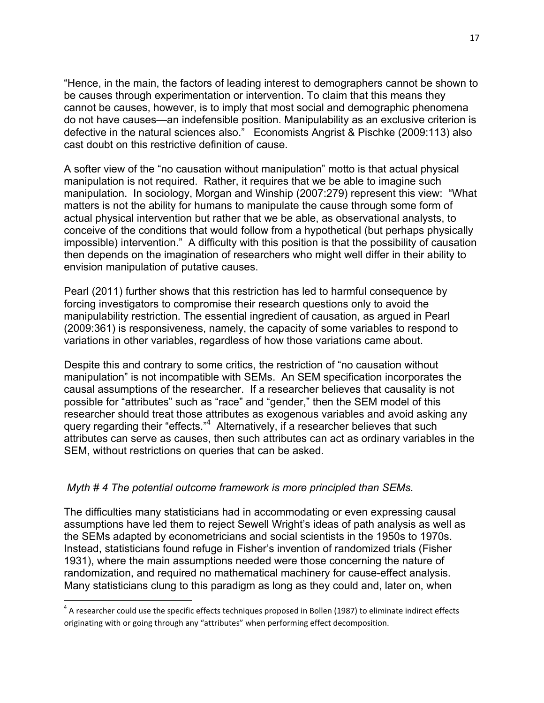"Hence, in the main, the factors of leading interest to demographers cannot be shown to be causes through experimentation or intervention. To claim that this means they cannot be causes, however, is to imply that most social and demographic phenomena do not have causes—an indefensible position. Manipulability as an exclusive criterion is defective in the natural sciences also." Economists Angrist & Pischke (2009:113) also cast doubt on this restrictive definition of cause.

A softer view of the "no causation without manipulation" motto is that actual physical manipulation is not required. Rather, it requires that we be able to imagine such manipulation. In sociology, Morgan and Winship (2007:279) represent this view: "What matters is not the ability for humans to manipulate the cause through some form of actual physical intervention but rather that we be able, as observational analysts, to conceive of the conditions that would follow from a hypothetical (but perhaps physically impossible) intervention." A difficulty with this position is that the possibility of causation then depends on the imagination of researchers who might well differ in their ability to envision manipulation of putative causes.

Pearl (2011) further shows that this restriction has led to harmful consequence by forcing investigators to compromise their research questions only to avoid the manipulability restriction. The essential ingredient of causation, as argued in Pearl (2009:361) is responsiveness, namely, the capacity of some variables to respond to variations in other variables, regardless of how those variations came about.

Despite this and contrary to some critics, the restriction of "no causation without manipulation" is not incompatible with SEMs. An SEM specification incorporates the causal assumptions of the researcher. If a researcher believes that causality is not possible for "attributes" such as "race" and "gender," then the SEM model of this researcher should treat those attributes as exogenous variables and avoid asking any query regarding their "effects."<sup>4</sup> Alternatively, if a researcher believes that such attributes can serve as causes, then such attributes can act as ordinary variables in the SEM, without restrictions on queries that can be asked.

#### *Myth # 4 The potential outcome framework is more principled than SEMs.*

The difficulties many statisticians had in accommodating or even expressing causal assumptions have led them to reject Sewell Wright's ideas of path analysis as well as the SEMs adapted by econometricians and social scientists in the 1950s to 1970s. Instead, statisticians found refuge in Fisher's invention of randomized trials (Fisher 1931), where the main assumptions needed were those concerning the nature of randomization, and required no mathematical machinery for cause-effect analysis. Many statisticians clung to this paradigm as long as they could and, later on, when

 $4$  A researcher could use the specific effects techniques proposed in Bollen (1987) to eliminate indirect effects originating with or going through any "attributes" when performing effect decomposition.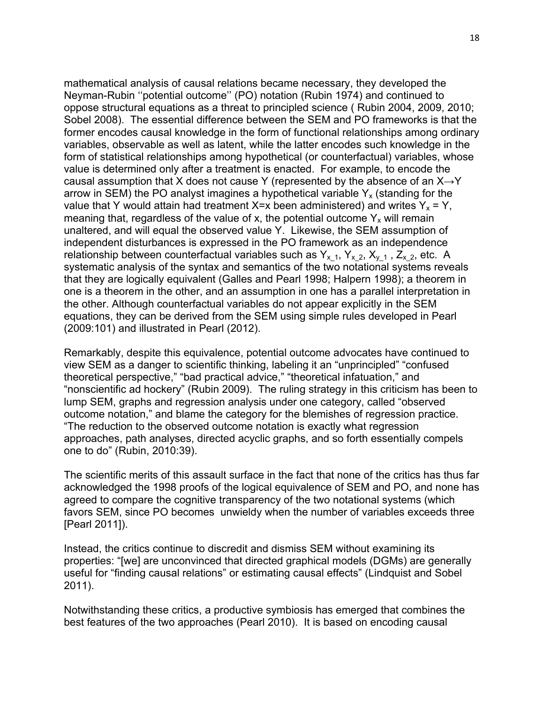mathematical analysis of causal relations became necessary, they developed the Neyman-Rubin ''potential outcome'' (PO) notation (Rubin 1974) and continued to oppose structural equations as a threat to principled science ( Rubin 2004, 2009, 2010; Sobel 2008). The essential difference between the SEM and PO frameworks is that the former encodes causal knowledge in the form of functional relationships among ordinary variables, observable as well as latent, while the latter encodes such knowledge in the form of statistical relationships among hypothetical (or counterfactual) variables, whose value is determined only after a treatment is enacted. For example, to encode the causal assumption that X does not cause Y (represented by the absence of an  $X\rightarrow Y$ arrow in SEM) the PO analyst imagines a hypothetical variable  $Y_x$  (standing for the value that Y would attain had treatment X=x been administered) and writes  $Y_x = Y$ , meaning that, regardless of the value of x, the potential outcome  $Y_x$  will remain unaltered, and will equal the observed value Y. Likewise, the SEM assumption of independent disturbances is expressed in the PO framework as an independence relationship between counterfactual variables such as  $Y_{x-1}$ ,  $Y_{x-2}$ ,  $X_{y-1}$ ,  $Z_{x-2}$ , etc. A systematic analysis of the syntax and semantics of the two notational systems reveals that they are logically equivalent (Galles and Pearl 1998; Halpern 1998); a theorem in one is a theorem in the other, and an assumption in one has a parallel interpretation in the other. Although counterfactual variables do not appear explicitly in the SEM equations, they can be derived from the SEM using simple rules developed in Pearl (2009:101) and illustrated in Pearl (2012).

Remarkably, despite this equivalence, potential outcome advocates have continued to view SEM as a danger to scientific thinking, labeling it an "unprincipled" "confused theoretical perspective," "bad practical advice," "theoretical infatuation," and "nonscientific ad hockery" (Rubin 2009). The ruling strategy in this criticism has been to lump SEM, graphs and regression analysis under one category, called "observed outcome notation," and blame the category for the blemishes of regression practice. "The reduction to the observed outcome notation is exactly what regression approaches, path analyses, directed acyclic graphs, and so forth essentially compels one to do" (Rubin, 2010:39).

The scientific merits of this assault surface in the fact that none of the critics has thus far acknowledged the 1998 proofs of the logical equivalence of SEM and PO, and none has agreed to compare the cognitive transparency of the two notational systems (which favors SEM, since PO becomes unwieldy when the number of variables exceeds three [Pearl 2011]).

Instead, the critics continue to discredit and dismiss SEM without examining its properties: "[we] are unconvinced that directed graphical models (DGMs) are generally useful for "finding causal relations" or estimating causal effects" (Lindquist and Sobel 2011).

Notwithstanding these critics, a productive symbiosis has emerged that combines the best features of the two approaches (Pearl 2010). It is based on encoding causal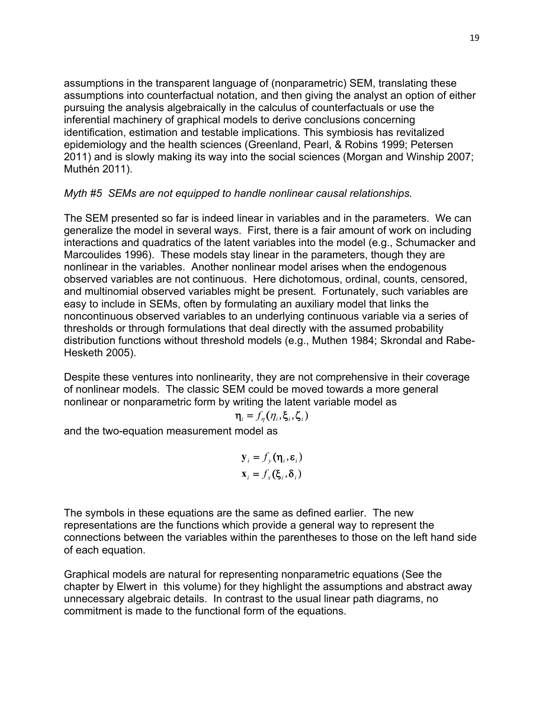assumptions in the transparent language of (nonparametric) SEM, translating these assumptions into counterfactual notation, and then giving the analyst an option of either pursuing the analysis algebraically in the calculus of counterfactuals or use the inferential machinery of graphical models to derive conclusions concerning identification, estimation and testable implications. This symbiosis has revitalized epidemiology and the health sciences (Greenland, Pearl, & Robins 1999; Petersen 2011) and is slowly making its way into the social sciences (Morgan and Winship 2007; Muthén 2011).

#### *Myth #5 SEMs are not equipped to handle nonlinear causal relationships.*

The SEM presented so far is indeed linear in variables and in the parameters. We can generalize the model in several ways. First, there is a fair amount of work on including interactions and quadratics of the latent variables into the model (e.g., Schumacker and Marcoulides 1996). These models stay linear in the parameters, though they are nonlinear in the variables. Another nonlinear model arises when the endogenous observed variables are not continuous. Here dichotomous, ordinal, counts, censored, and multinomial observed variables might be present. Fortunately, such variables are easy to include in SEMs, often by formulating an auxiliary model that links the noncontinuous observed variables to an underlying continuous variable via a series of thresholds or through formulations that deal directly with the assumed probability distribution functions without threshold models (e.g., Muthen 1984; Skrondal and Rabe-Hesketh 2005).

Despite these ventures into nonlinearity, they are not comprehensive in their coverage of nonlinear models. The classic SEM could be moved towards a more general nonlinear or nonparametric form by writing the latent variable model as

$$
\mathbf{\eta}_i = f_{\eta}(\eta_i, \xi_i, \zeta_i)
$$

and the two-equation measurement model as

$$
\mathbf{y}_{i} = f_{y}(\mathbf{\eta}_{i}, \mathbf{\varepsilon}_{i})
$$

$$
\mathbf{x}_{i} = f_{x}(\mathbf{\xi}_{i}, \mathbf{\delta}_{i})
$$

The symbols in these equations are the same as defined earlier. The new representations are the functions which provide a general way to represent the connections between the variables within the parentheses to those on the left hand side of each equation.

Graphical models are natural for representing nonparametric equations (See the chapter by Elwert in this volume) for they highlight the assumptions and abstract away unnecessary algebraic details. In contrast to the usual linear path diagrams, no commitment is made to the functional form of the equations.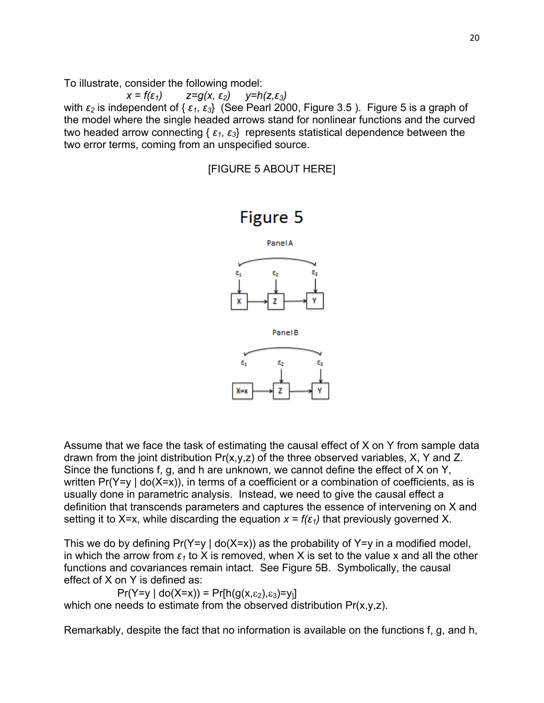To illustrate, consider the following model:

 *x = f(ε1) z=g(x, ε2) y=h(z,ε3)*  with *ε<sup>2</sup>* is independent of { *ε1*, *ε3*} (See Pearl 2000, Figure 3.5 ). Figure 5 is a graph of the model where the single headed arrows stand for nonlinear functions and the curved two headed arrow connecting { *ε1*, *ε3*} represents statistical dependence between the two error terms, coming from an unspecified source.

#### [FIGURE 5 ABOUT HERE]



Assume that we face the task of estimating the causal effect of X on Y from sample data drawn from the joint distribution  $Pr(x,y,z)$  of the three observed variables, X, Y and Z. Since the functions f, g, and h are unknown, we cannot define the effect of X on Y, written  $Pr(Y=y | do(X=x))$ , in terms of a coefficient or a combination of coefficients, as is usually done in parametric analysis. Instead, we need to give the causal effect a definition that transcends parameters and captures the essence of intervening on X and setting it to X=x, while discarding the equation  $x = f(\varepsilon_1)$  that previously governed X.

This we do by defining  $Pr(Y=y | do(X=x))$  as the probability of Y=y in a modified model, in which the arrow from  $\varepsilon_1$  to X is removed, when X is set to the value x and all the other functions and covariances remain intact. See Figure 5B. Symbolically, the causal effect of X on Y is defined as:

 $Pr(Y=y | do(X=x)) = Pr[h(g(x, \varepsilon_2), \varepsilon_3)=y_1]$ which one needs to estimate from the observed distribution  $Pr(x,y,z)$ .

Remarkably, despite the fact that no information is available on the functions f, g, and h,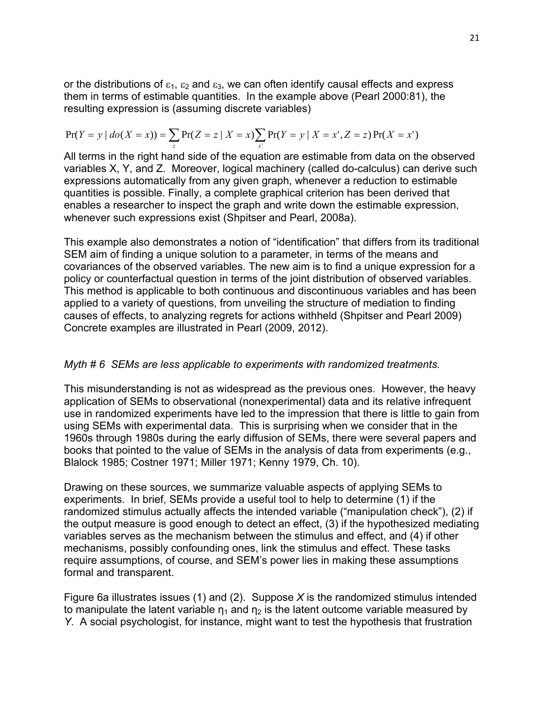or the distributions of  $\varepsilon_1$ ,  $\varepsilon_2$  and  $\varepsilon_3$ , we can often identify causal effects and express them in terms of estimable quantities. In the example above (Pearl 2000:81), the resulting expression is (assuming discrete variables)

$$
\Pr(Y = y \mid do(X = x)) = \sum_{z} \Pr(Z = z \mid X = x) \sum_{x'} \Pr(Y = y \mid X = x', Z = z) \Pr(X = x')
$$

All terms in the right hand side of the equation are estimable from data on the observed variables X, Y, and Z. Moreover, logical machinery (called do-calculus) can derive such expressions automatically from any given graph, whenever a reduction to estimable quantities is possible. Finally, a complete graphical criterion has been derived that enables a researcher to inspect the graph and write down the estimable expression, whenever such expressions exist (Shpitser and Pearl, 2008a).

This example also demonstrates a notion of "identification" that differs from its traditional SEM aim of finding a unique solution to a parameter, in terms of the means and covariances of the observed variables. The new aim is to find a unique expression for a policy or counterfactual question in terms of the joint distribution of observed variables. This method is applicable to both continuous and discontinuous variables and has been applied to a variety of questions, from unveiling the structure of mediation to finding causes of effects, to analyzing regrets for actions withheld (Shpitser and Pearl 2009) Concrete examples are illustrated in Pearl (2009, 2012).

#### *Myth # 6 SEMs are less applicable to experiments with randomized treatments.*

This misunderstanding is not as widespread as the previous ones. However, the heavy application of SEMs to observational (nonexperimental) data and its relative infrequent use in randomized experiments have led to the impression that there is little to gain from using SEMs with experimental data. This is surprising when we consider that in the 1960s through 1980s during the early diffusion of SEMs, there were several papers and books that pointed to the value of SEMs in the analysis of data from experiments (e.g., Blalock 1985; Costner 1971; Miller 1971; Kenny 1979, Ch. 10).

Drawing on these sources, we summarize valuable aspects of applying SEMs to experiments. In brief, SEMs provide a useful tool to help to determine (1) if the randomized stimulus actually affects the intended variable ("manipulation check"), (2) if the output measure is good enough to detect an effect, (3) if the hypothesized mediating variables serves as the mechanism between the stimulus and effect, and (4) if other mechanisms, possibly confounding ones, link the stimulus and effect. These tasks require assumptions, of course, and SEM's power lies in making these assumptions formal and transparent.

Figure 6a illustrates issues (1) and (2). Suppose *X* is the randomized stimulus intended to manipulate the latent variable  $\eta_1$  and  $\eta_2$  is the latent outcome variable measured by *Y*. A social psychologist, for instance, might want to test the hypothesis that frustration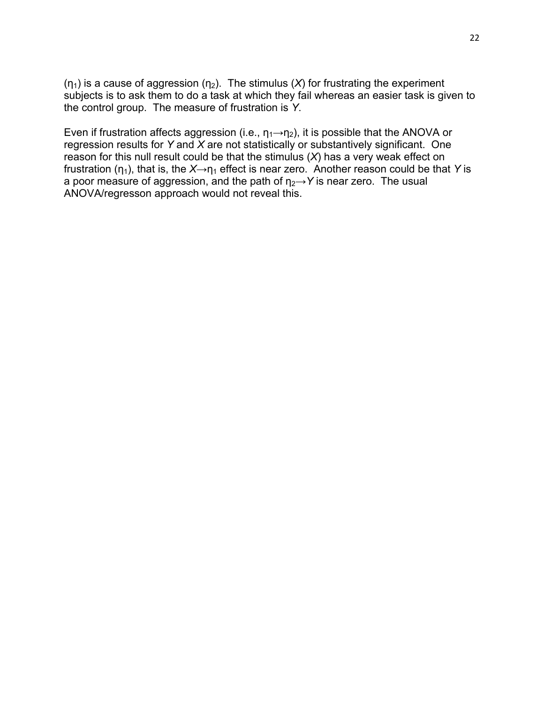$(\eta_1)$  is a cause of aggression  $(\eta_2)$ . The stimulus  $(X)$  for frustrating the experiment subjects is to ask them to do a task at which they fail whereas an easier task is given to the control group. The measure of frustration is *Y*.

Even if frustration affects aggression (i.e.,  $\eta_1 \rightarrow \eta_2$ ), it is possible that the ANOVA or regression results for *Y* and *X* are not statistically or substantively significant. One reason for this null result could be that the stimulus (*X*) has a very weak effect on frustration ( $\eta_1$ ), that is, the  $X \rightarrow \eta_1$  effect is near zero. Another reason could be that Y is a poor measure of aggression, and the path of  $\eta_2 \rightarrow$ *Y* is near zero. The usual ANOVA/regresson approach would not reveal this.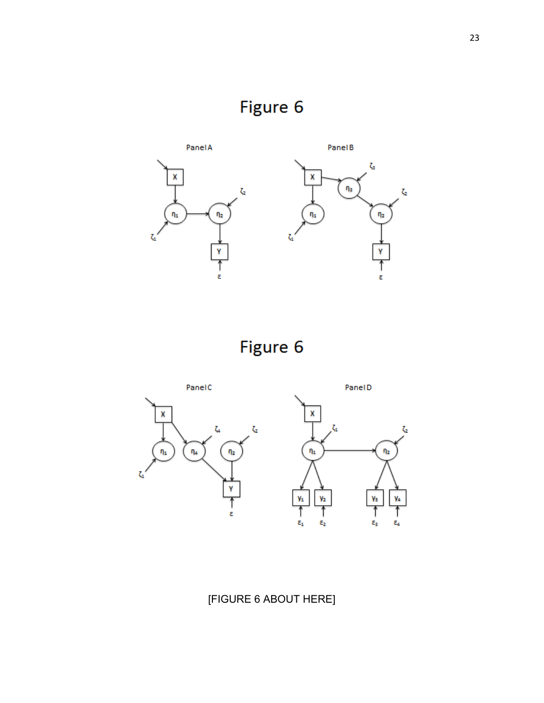## [FIGURE 6 ABOUT HERE]



 $\zeta_{\rm i}$ 







Figure 6

PanelB  $\zeta_{\rm B}$  $\eta_3$  $\eta_2$ 

 $\zeta_2$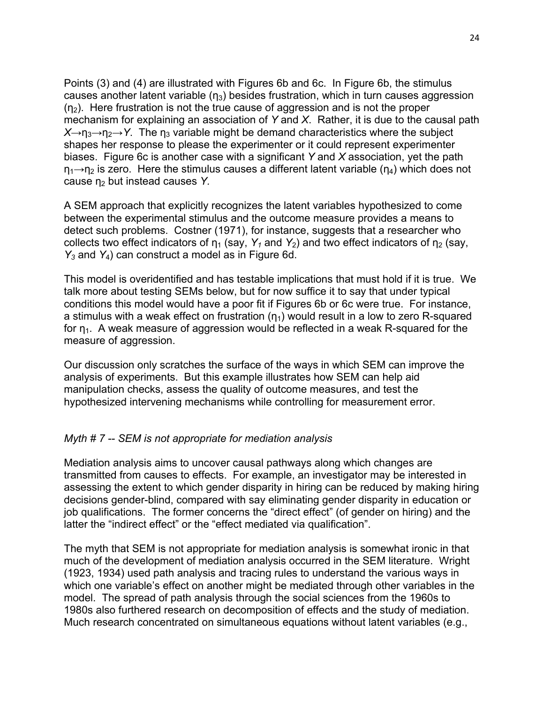Points (3) and (4) are illustrated with Figures 6b and 6c. In Figure 6b, the stimulus causes another latent variable  $(\eta_3)$  besides frustration, which in turn causes aggression  $(n<sub>2</sub>)$ . Here frustration is not the true cause of aggression and is not the proper mechanism for explaining an association of *Y* and *X*. Rather, it is due to the causal path  $X\rightarrow \eta_3\rightarrow \eta_2\rightarrow Y$ . The  $\eta_3$  variable might be demand characteristics where the subject shapes her response to please the experimenter or it could represent experimenter biases. Figure 6c is another case with a significant *Y* and *X* association, yet the path  $\eta_1 \rightarrow \eta_2$  is zero. Here the stimulus causes a different latent variable ( $\eta_4$ ) which does not cause η2 but instead causes *Y.*

A SEM approach that explicitly recognizes the latent variables hypothesized to come between the experimental stimulus and the outcome measure provides a means to detect such problems. Costner (1971), for instance, suggests that a researcher who collects two effect indicators of  $n_1$  (say,  $Y_1$  and  $Y_2$ ) and two effect indicators of  $n_2$  (say, *Y3* and *Y*4) can construct a model as in Figure 6d.

This model is overidentified and has testable implications that must hold if it is true. We talk more about testing SEMs below, but for now suffice it to say that under typical conditions this model would have a poor fit if Figures 6b or 6c were true. For instance, a stimulus with a weak effect on frustration  $(\eta_1)$  would result in a low to zero R-squared for  $\eta_1$ . A weak measure of aggression would be reflected in a weak R-squared for the measure of aggression.

Our discussion only scratches the surface of the ways in which SEM can improve the analysis of experiments. But this example illustrates how SEM can help aid manipulation checks, assess the quality of outcome measures, and test the hypothesized intervening mechanisms while controlling for measurement error.

#### *Myth # 7 -- SEM is not appropriate for mediation analysis*

Mediation analysis aims to uncover causal pathways along which changes are transmitted from causes to effects. For example, an investigator may be interested in assessing the extent to which gender disparity in hiring can be reduced by making hiring decisions gender-blind, compared with say eliminating gender disparity in education or job qualifications. The former concerns the "direct effect" (of gender on hiring) and the latter the "indirect effect" or the "effect mediated via qualification".

The myth that SEM is not appropriate for mediation analysis is somewhat ironic in that much of the development of mediation analysis occurred in the SEM literature. Wright (1923, 1934) used path analysis and tracing rules to understand the various ways in which one variable's effect on another might be mediated through other variables in the model. The spread of path analysis through the social sciences from the 1960s to 1980s also furthered research on decomposition of effects and the study of mediation. Much research concentrated on simultaneous equations without latent variables (e.g.,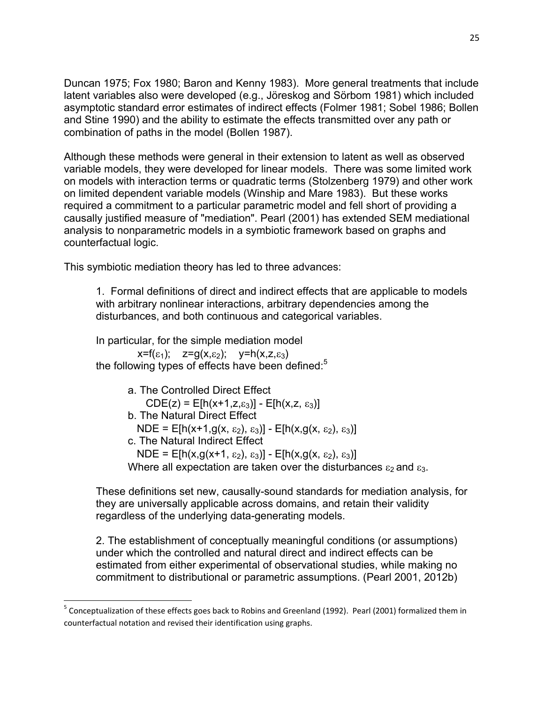Duncan 1975; Fox 1980; Baron and Kenny 1983). More general treatments that include latent variables also were developed (e.g., Jöreskog and Sörbom 1981) which included asymptotic standard error estimates of indirect effects (Folmer 1981; Sobel 1986; Bollen and Stine 1990) and the ability to estimate the effects transmitted over any path or combination of paths in the model (Bollen 1987).

Although these methods were general in their extension to latent as well as observed variable models, they were developed for linear models. There was some limited work on models with interaction terms or quadratic terms (Stolzenberg 1979) and other work on limited dependent variable models (Winship and Mare 1983). But these works required a commitment to a particular parametric model and fell short of providing a causally justified measure of "mediation". Pearl (2001) has extended SEM mediational analysis to nonparametric models in a symbiotic framework based on graphs and counterfactual logic.

This symbiotic mediation theory has led to three advances:

1. Formal definitions of direct and indirect effects that are applicable to models with arbitrary nonlinear interactions, arbitrary dependencies among the disturbances, and both continuous and categorical variables.

In particular, for the simple mediation model  $x=f(\epsilon_1); \quad z=g(x,\epsilon_2); \quad y=h(x,z,\epsilon_3)$ the following types of effects have been defined:<sup>5</sup>

a. The Controlled Direct Effect  $CDE(z) = E[h(x+1,z,\epsilon_3)] - E[h(x,z,\epsilon_3)]$ b. The Natural Direct Effect NDE =  $E[h(x+1, g(x, \varepsilon_2), \varepsilon_3)] - E[h(x, g(x, \varepsilon_2), \varepsilon_3)]$ c. The Natural Indirect Effect NDE =  $E[h(x, g(x+1, \varepsilon_2), \varepsilon_3)] - E[h(x, g(x, \varepsilon_2), \varepsilon_3)]$ Where all expectation are taken over the disturbances  $\varepsilon_2$  and  $\varepsilon_3$ .

These definitions set new, causally-sound standards for mediation analysis, for they are universally applicable across domains, and retain their validity regardless of the underlying data-generating models.

2. The establishment of conceptually meaningful conditions (or assumptions) under which the controlled and natural direct and indirect effects can be estimated from either experimental of observational studies, while making no commitment to distributional or parametric assumptions. (Pearl 2001, 2012b)

<sup>&</sup>lt;sup>5</sup> Conceptualization of these effects goes back to Robins and Greenland (1992). Pearl (2001) formalized them in counterfactual notation and revised their identification using graphs.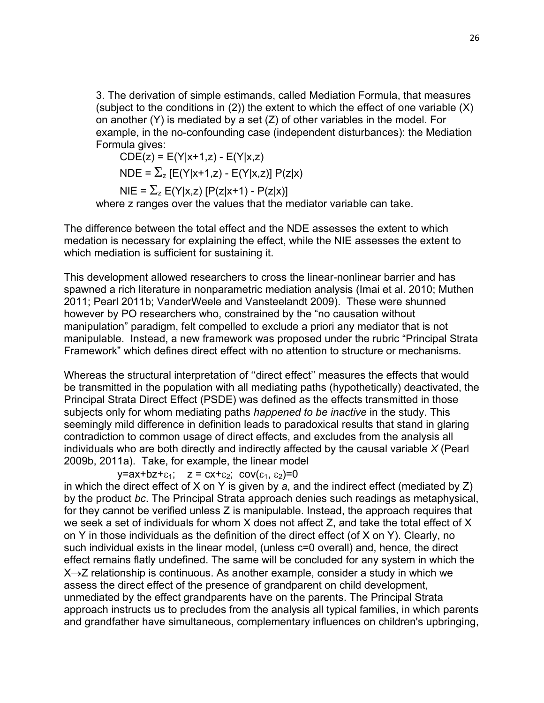3. The derivation of simple estimands, called Mediation Formula, that measures (subject to the conditions in  $(2)$ ) the extent to which the effect of one variable  $(X)$ on another (Y) is mediated by a set (Z) of other variables in the model. For example, in the no-confounding case (independent disturbances): the Mediation Formula gives:

 $CDE(z) = E(Y|x+1,z) - E(Y|x,z)$  $NDE = \sum_{z} [E(Y|x+1,z) - E(Y|x,z)] P(z|x)$  $NIE = \sum_{z} E(Y|x,z) [P(z|x+1) - P(z|x)]$ where z ranges over the values that the mediator variable can take.

The difference between the total effect and the NDE assesses the extent to which medation is necessary for explaining the effect, while the NIE assesses the extent to which mediation is sufficient for sustaining it.

This development allowed researchers to cross the linear-nonlinear barrier and has spawned a rich literature in nonparametric mediation analysis (Imai et al. 2010; Muthen 2011; Pearl 2011b; VanderWeele and Vansteelandt 2009). These were shunned however by PO researchers who, constrained by the "no causation without manipulation" paradigm, felt compelled to exclude a priori any mediator that is not manipulable. Instead, a new framework was proposed under the rubric "Principal Strata Framework" which defines direct effect with no attention to structure or mechanisms.

Whereas the structural interpretation of ''direct effect'' measures the effects that would be transmitted in the population with all mediating paths (hypothetically) deactivated, the Principal Strata Direct Effect (PSDE) was defined as the effects transmitted in those subjects only for whom mediating paths *happened to be inactive* in the study. This seemingly mild difference in definition leads to paradoxical results that stand in glaring contradiction to common usage of direct effects, and excludes from the analysis all individuals who are both directly and indirectly affected by the causal variable *X* (Pearl 2009b, 2011a). Take, for example, the linear model

 $y=ax+bz+\epsilon_1$ ;  $z = cx+\epsilon_2$ ;  $cov(\epsilon_1, \epsilon_2)=0$ 

in which the direct effect of X on Y is given by *a*, and the indirect effect (mediated by Z) by the product *bc*. The Principal Strata approach denies such readings as metaphysical, for they cannot be verified unless Z is manipulable. Instead, the approach requires that we seek a set of individuals for whom X does not affect Z, and take the total effect of X on Y in those individuals as the definition of the direct effect (of X on Y). Clearly, no such individual exists in the linear model, (unless c=0 overall) and, hence, the direct effect remains flatly undefined. The same will be concluded for any system in which the X→Z relationship is continuous. As another example, consider a study in which we assess the direct effect of the presence of grandparent on child development, unmediated by the effect grandparents have on the parents. The Principal Strata approach instructs us to precludes from the analysis all typical families, in which parents and grandfather have simultaneous, complementary influences on children's upbringing,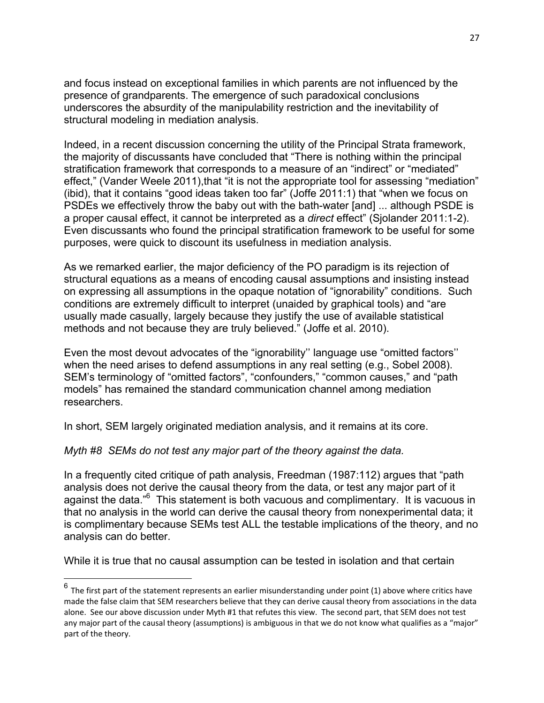and focus instead on exceptional families in which parents are not influenced by the presence of grandparents. The emergence of such paradoxical conclusions underscores the absurdity of the manipulability restriction and the inevitability of structural modeling in mediation analysis.

Indeed, in a recent discussion concerning the utility of the Principal Strata framework, the majority of discussants have concluded that "There is nothing within the principal stratification framework that corresponds to a measure of an "indirect" or "mediated" effect," (Vander Weele 2011), that "it is not the appropriate tool for assessing "mediation" (ibid), that it contains "good ideas taken too far" (Joffe 2011:1) that "when we focus on PSDEs we effectively throw the baby out with the bath-water [and] ... although PSDE is a proper causal effect, it cannot be interpreted as a *direct* effect" (Sjolander 2011:1-2). Even discussants who found the principal stratification framework to be useful for some purposes, were quick to discount its usefulness in mediation analysis.

As we remarked earlier, the major deficiency of the PO paradigm is its rejection of structural equations as a means of encoding causal assumptions and insisting instead on expressing all assumptions in the opaque notation of "ignorability" conditions. Such conditions are extremely difficult to interpret (unaided by graphical tools) and "are usually made casually, largely because they justify the use of available statistical methods and not because they are truly believed." (Joffe et al. 2010).

Even the most devout advocates of the "ignorability'' language use "omitted factors'' when the need arises to defend assumptions in any real setting (e.g., Sobel 2008). SEM's terminology of "omitted factors", "confounders," "common causes," and "path models" has remained the standard communication channel among mediation researchers.

In short, SEM largely originated mediation analysis, and it remains at its core.

#### *Myth #8 SEMs do not test any major part of the theory against the data.*

In a frequently cited critique of path analysis, Freedman (1987:112) argues that "path analysis does not derive the causal theory from the data, or test any major part of it against the data."<sup>6</sup> This statement is both vacuous and complimentary. It is vacuous in that no analysis in the world can derive the causal theory from nonexperimental data; it is complimentary because SEMs test ALL the testable implications of the theory, and no analysis can do better.

While it is true that no causal assumption can be tested in isolation and that certain

 $6$  The first part of the statement represents an earlier misunderstanding under point (1) above where critics have made the false claim that SEM researchers believe that they can derive causal theory from associations in the data alone. See our above discussion under Myth #1 that refutes this view. The second part, that SEM does not test any major part of the causal theory (assumptions) is ambiguous in that we do not know what qualifies as a "major" part of the theory.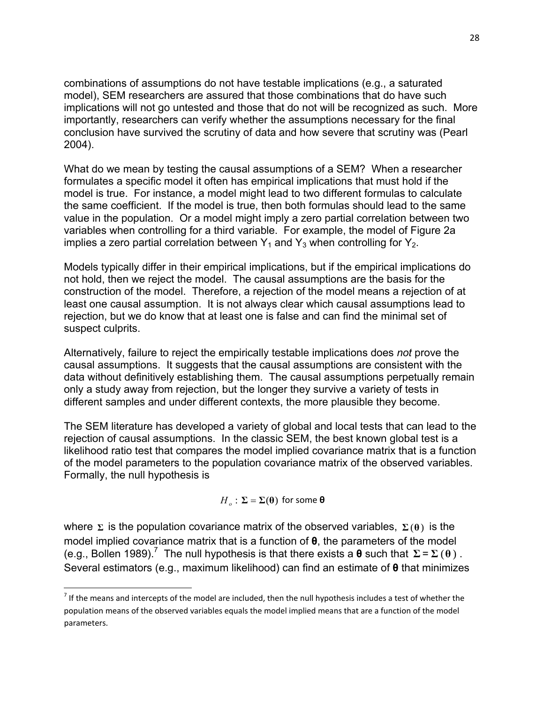combinations of assumptions do not have testable implications (e.g., a saturated model), SEM researchers are assured that those combinations that do have such implications will not go untested and those that do not will be recognized as such. More importantly, researchers can verify whether the assumptions necessary for the final conclusion have survived the scrutiny of data and how severe that scrutiny was (Pearl 2004).

What do we mean by testing the causal assumptions of a SEM? When a researcher formulates a specific model it often has empirical implications that must hold if the model is true. For instance, a model might lead to two different formulas to calculate the same coefficient. If the model is true, then both formulas should lead to the same value in the population. Or a model might imply a zero partial correlation between two variables when controlling for a third variable. For example, the model of Figure 2a implies a zero partial correlation between  $Y_1$  and  $Y_3$  when controlling for  $Y_2$ .

Models typically differ in their empirical implications, but if the empirical implications do not hold, then we reject the model. The causal assumptions are the basis for the construction of the model. Therefore, a rejection of the model means a rejection of at least one causal assumption. It is not always clear which causal assumptions lead to rejection, but we do know that at least one is false and can find the minimal set of suspect culprits.

Alternatively, failure to reject the empirically testable implications does *not* prove the causal assumptions. It suggests that the causal assumptions are consistent with the data without definitively establishing them. The causal assumptions perpetually remain only a study away from rejection, but the longer they survive a variety of tests in different samples and under different contexts, the more plausible they become.

The SEM literature has developed a variety of global and local tests that can lead to the rejection of causal assumptions. In the classic SEM, the best known global test is a likelihood ratio test that compares the model implied covariance matrix that is a function of the model parameters to the population covariance matrix of the observed variables. Formally, the null hypothesis is

 $H_{\rho}$ :  $\Sigma = \Sigma(\theta)$  for some  $\theta$ 

where  $\Sigma$  is the population covariance matrix of the observed variables,  $\Sigma(\theta)$  is the model implied covariance matrix that is a function of **θ**, the parameters of the model (e.g., Bollen 1989).<sup>7</sup> The null hypothesis is that there exists a **θ** such that  $\Sigma = \Sigma(\theta)$ . Several estimators (e.g., maximum likelihood) can find an estimate of **θ** that minimizes

 $<sup>7</sup>$  If the means and intercepts of the model are included, then the null hypothesis includes a test of whether the</sup> population means of the observed variables equals the model implied means that are a function of the model parameters.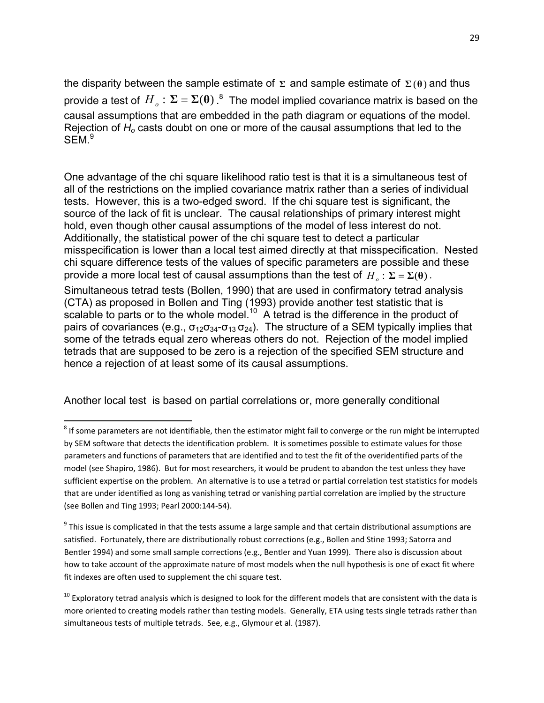the disparity between the sample estimate of  $\Sigma$  and sample estimate of  $\Sigma(\theta)$  and thus provide a test of  $H_o: \Sigma$  =  $\Sigma(\theta)$ .<sup>8</sup> The model implied covariance matrix is based on the causal assumptions that are embedded in the path diagram or equations of the model. Rejection of *Ho* casts doubt on one or more of the causal assumptions that led to the SEM.<sup>9</sup>

One advantage of the chi square likelihood ratio test is that it is a simultaneous test of all of the restrictions on the implied covariance matrix rather than a series of individual tests. However, this is a two-edged sword. If the chi square test is significant, the source of the lack of fit is unclear. The causal relationships of primary interest might hold, even though other causal assumptions of the model of less interest do not. Additionally, the statistical power of the chi square test to detect a particular misspecification is lower than a local test aimed directly at that misspecification. Nested chi square difference tests of the values of specific parameters are possible and these provide a more local test of causal assumptions than the test of  $H_a$ :  $\Sigma = \Sigma(\theta)$ . Simultaneous tetrad tests (Bollen, 1990) that are used in confirmatory tetrad analysis (CTA) as proposed in Bollen and Ting (1993) provide another test statistic that is scalable to parts or to the whole model.<sup>10</sup> A tetrad is the difference in the product of pairs of covariances (e.g.,  $\sigma_{12}\sigma_{34}$ - $\sigma_{13}\sigma_{24}$ ). The structure of a SEM typically implies that some of the tetrads equal zero whereas others do not. Rejection of the model implied tetrads that are supposed to be zero is a rejection of the specified SEM structure and hence a rejection of at least some of its causal assumptions.

Another local test is based on partial correlations or, more generally conditional

 $8$  If some parameters are not identifiable, then the estimator might fail to converge or the run might be interrupted by SEM software that detects the identification problem. It is sometimes possible to estimate values for those parameters and functions of parameters that are identified and to test the fit of the overidentified parts of the model (see Shapiro, 1986). But for most researchers, it would be prudent to abandon the test unless they have sufficient expertise on the problem. An alternative is to use a tetrad or partial correlation test statistics for models that are under identified as long as vanishing tetrad or vanishing partial correlation are implied by the structure (see Bollen and Ting 1993; Pearl 2000:144‐54).

 $9$  This issue is complicated in that the tests assume a large sample and that certain distributional assumptions are satisfied. Fortunately, there are distributionally robust corrections (e.g., Bollen and Stine 1993; Satorra and Bentler 1994) and some small sample corrections (e.g., Bentler and Yuan 1999). There also is discussion about how to take account of the approximate nature of most models when the null hypothesis is one of exact fit where fit indexes are often used to supplement the chi square test.

 $10$  Exploratory tetrad analysis which is designed to look for the different models that are consistent with the data is more oriented to creating models rather than testing models. Generally, ETA using tests single tetrads rather than simultaneous tests of multiple tetrads. See, e.g., Glymour et al. (1987).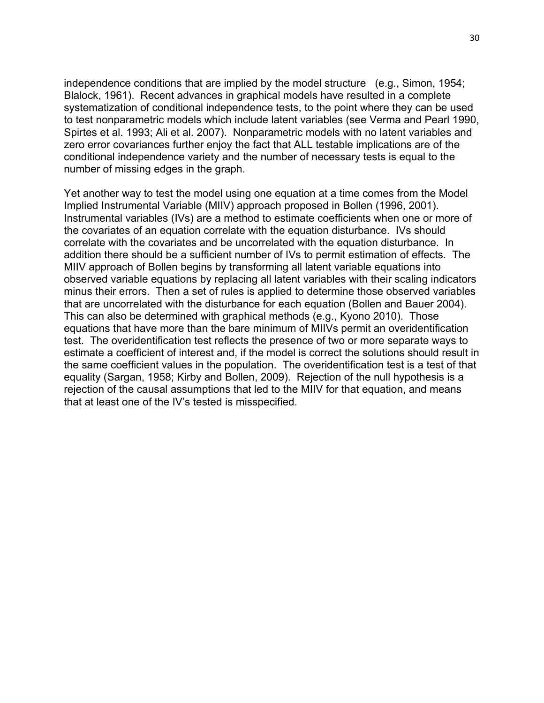independence conditions that are implied by the model structure (e.g., Simon, 1954; Blalock, 1961). Recent advances in graphical models have resulted in a complete systematization of conditional independence tests, to the point where they can be used to test nonparametric models which include latent variables (see Verma and Pearl 1990, Spirtes et al. 1993; Ali et al. 2007). Nonparametric models with no latent variables and zero error covariances further enjoy the fact that ALL testable implications are of the conditional independence variety and the number of necessary tests is equal to the number of missing edges in the graph.

Yet another way to test the model using one equation at a time comes from the Model Implied Instrumental Variable (MIIV) approach proposed in Bollen (1996, 2001). Instrumental variables (IVs) are a method to estimate coefficients when one or more of the covariates of an equation correlate with the equation disturbance. IVs should correlate with the covariates and be uncorrelated with the equation disturbance. In addition there should be a sufficient number of IVs to permit estimation of effects. The MIIV approach of Bollen begins by transforming all latent variable equations into observed variable equations by replacing all latent variables with their scaling indicators minus their errors. Then a set of rules is applied to determine those observed variables that are uncorrelated with the disturbance for each equation (Bollen and Bauer 2004). This can also be determined with graphical methods (e.g., Kyono 2010). Those equations that have more than the bare minimum of MIIVs permit an overidentification test. The overidentification test reflects the presence of two or more separate ways to estimate a coefficient of interest and, if the model is correct the solutions should result in the same coefficient values in the population. The overidentification test is a test of that equality (Sargan, 1958; Kirby and Bollen, 2009). Rejection of the null hypothesis is a rejection of the causal assumptions that led to the MIIV for that equation, and means that at least one of the IV's tested is misspecified.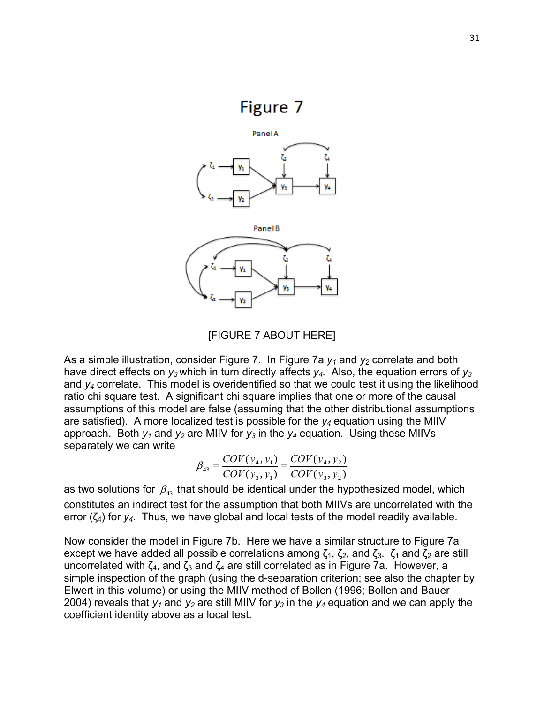# Figure 7 PanelA PanelB



[FIGURE 7 ABOUT HERE]

As a simple illustration, consider Figure 7. In Figure 7a  $y_1$  and  $y_2$  correlate and both have direct effects on  $y_3$  which in turn directly affects  $y_4$ . Also, the equation errors of  $y_3$ and *y4* correlate. This model is overidentified so that we could test it using the likelihood ratio chi square test. A significant chi square implies that one or more of the causal assumptions of this model are false (assuming that the other distributional assumptions are satisfied). A more localized test is possible for the  $y_4$  equation using the MIIV approach. Both  $y_1$  and  $y_2$  are MIIV for  $y_3$  in the  $y_4$  equation. Using these MIIVs separately we can write

$$
\beta_{43} = \frac{COV(y_4, y_1)}{COV(y_3, y_1)} = \frac{COV(y_4, y_2)}{COV(y_3, y_2)}
$$

as two solutions for  $\beta_{43}$  that should be identical under the hypothesized model, which constitutes an indirect test for the assumption that both MIIVs are uncorrelated with the error  $(\zeta_4)$  for  $y_4$ . Thus, we have global and local tests of the model readily available.

Now consider the model in Figure 7b. Here we have a similar structure to Figure 7a except we have added all possible correlations among  $\zeta_1$ ,  $\zeta_2$ , and  $\zeta_3$ .  $\zeta_1$  and  $\zeta_2$  are still uncorrelated with  $\zeta_4$ , and  $\zeta_3$  and  $\zeta_4$  are still correlated as in Figure 7a. However, a simple inspection of the graph (using the d-separation criterion; see also the chapter by Elwert in this volume) or using the MIIV method of Bollen (1996; Bollen and Bauer 2004) reveals that  $y_1$  and  $y_2$  are still MIIV for  $y_3$  in the  $y_4$  equation and we can apply the coefficient identity above as a local test.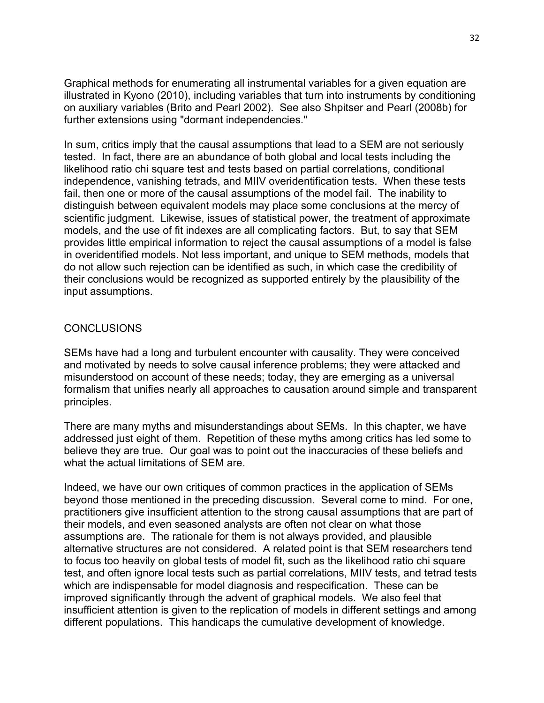Graphical methods for enumerating all instrumental variables for a given equation are illustrated in Kyono (2010), including variables that turn into instruments by conditioning on auxiliary variables (Brito and Pearl 2002). See also Shpitser and Pearl (2008b) for further extensions using "dormant independencies."

In sum, critics imply that the causal assumptions that lead to a SEM are not seriously tested. In fact, there are an abundance of both global and local tests including the likelihood ratio chi square test and tests based on partial correlations, conditional independence, vanishing tetrads, and MIIV overidentification tests. When these tests fail, then one or more of the causal assumptions of the model fail. The inability to distinguish between equivalent models may place some conclusions at the mercy of scientific judgment. Likewise, issues of statistical power, the treatment of approximate models, and the use of fit indexes are all complicating factors. But, to say that SEM provides little empirical information to reject the causal assumptions of a model is false in overidentified models. Not less important, and unique to SEM methods, models that do not allow such rejection can be identified as such, in which case the credibility of their conclusions would be recognized as supported entirely by the plausibility of the input assumptions.

#### CONCLUSIONS

SEMs have had a long and turbulent encounter with causality. They were conceived and motivated by needs to solve causal inference problems; they were attacked and misunderstood on account of these needs; today, they are emerging as a universal formalism that unifies nearly all approaches to causation around simple and transparent principles.

There are many myths and misunderstandings about SEMs. In this chapter, we have addressed just eight of them. Repetition of these myths among critics has led some to believe they are true. Our goal was to point out the inaccuracies of these beliefs and what the actual limitations of SEM are.

Indeed, we have our own critiques of common practices in the application of SEMs beyond those mentioned in the preceding discussion. Several come to mind. For one, practitioners give insufficient attention to the strong causal assumptions that are part of their models, and even seasoned analysts are often not clear on what those assumptions are. The rationale for them is not always provided, and plausible alternative structures are not considered. A related point is that SEM researchers tend to focus too heavily on global tests of model fit, such as the likelihood ratio chi square test, and often ignore local tests such as partial correlations, MIIV tests, and tetrad tests which are indispensable for model diagnosis and respecification. These can be improved significantly through the advent of graphical models. We also feel that insufficient attention is given to the replication of models in different settings and among different populations. This handicaps the cumulative development of knowledge.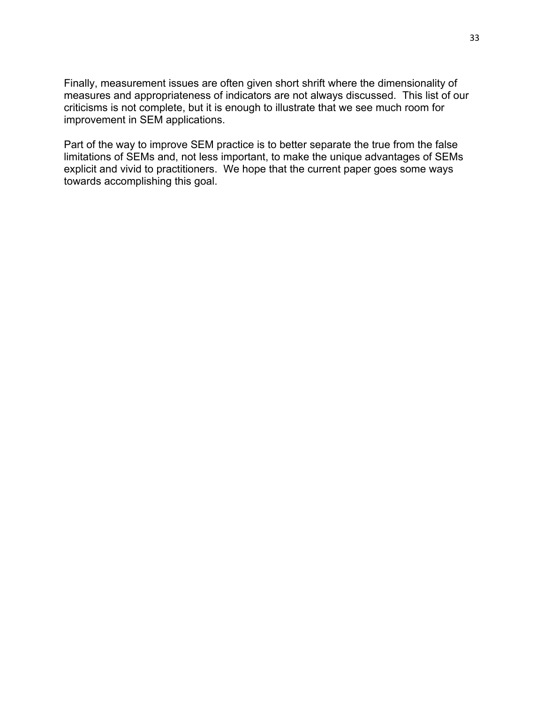Finally, measurement issues are often given short shrift where the dimensionality of measures and appropriateness of indicators are not always discussed. This list of our criticisms is not complete, but it is enough to illustrate that we see much room for improvement in SEM applications.

Part of the way to improve SEM practice is to better separate the true from the false limitations of SEMs and, not less important, to make the unique advantages of SEMs explicit and vivid to practitioners. We hope that the current paper goes some ways towards accomplishing this goal.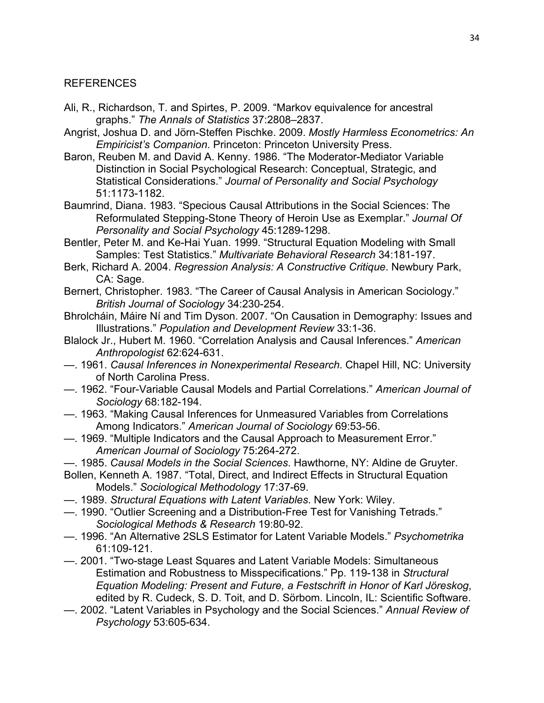#### REFERENCES

- Ali, R., Richardson, T. and Spirtes, P. 2009. "Markov equivalence for ancestral graphs." *The Annals of Statistics* 37:2808–2837.
- Angrist, Joshua D. and Jörn-Steffen Pischke. 2009. *Mostly Harmless Econometrics: An Empiricist's Companion*. Princeton: Princeton University Press.
- Baron, Reuben M. and David A. Kenny. 1986. "The Moderator-Mediator Variable Distinction in Social Psychological Research: Conceptual, Strategic, and Statistical Considerations." *Journal of Personality and Social Psychology* 51:1173-1182.
- Baumrind, Diana. 1983. "Specious Causal Attributions in the Social Sciences: The Reformulated Stepping-Stone Theory of Heroin Use as Exemplar." *Journal Of Personality and Social Psychology* 45:1289-1298.
- Bentler, Peter M. and Ke-Hai Yuan. 1999. "Structural Equation Modeling with Small Samples: Test Statistics." *Multivariate Behavioral Research* 34:181-197.
- Berk, Richard A. 2004. *Regression Analysis: A Constructive Critique*. Newbury Park, CA: Sage.
- Bernert, Christopher. 1983. "The Career of Causal Analysis in American Sociology." *British Journal of Sociology* 34:230-254.
- Bhrolcháin, Máire Ní and Tim Dyson. 2007. "On Causation in Demography: Issues and Illustrations." *Population and Development Review* 33:1-36.
- Blalock Jr., Hubert M. 1960. "Correlation Analysis and Causal Inferences." *American Anthropologist* 62:624-631.
- —. 1961. *Causal Inferences in Nonexperimental Research*. Chapel Hill, NC: University of North Carolina Press.
- —. 1962. "Four-Variable Causal Models and Partial Correlations." *American Journal of Sociology* 68:182-194.
- —. 1963. "Making Causal Inferences for Unmeasured Variables from Correlations Among Indicators." *American Journal of Sociology* 69:53-56.
- —. 1969. "Multiple Indicators and the Causal Approach to Measurement Error." *American Journal of Sociology* 75:264-272.
- —. 1985. *Causal Models in the Social Sciences*. Hawthorne, NY: Aldine de Gruyter.
- Bollen, Kenneth A. 1987. "Total, Direct, and Indirect Effects in Structural Equation Models." *Sociological Methodology* 17:37-69.
- —. 1989. *Structural Equations with Latent Variables*. New York: Wiley.
- —. 1990. "Outlier Screening and a Distribution-Free Test for Vanishing Tetrads." *Sociological Methods & Research* 19:80-92.
- —. 1996. "An Alternative 2SLS Estimator for Latent Variable Models." *Psychometrika* 61:109-121.
- —. 2001. "Two-stage Least Squares and Latent Variable Models: Simultaneous Estimation and Robustness to Misspecifications." Pp. 119-138 in *Structural Equation Modeling: Present and Future, a Festschrift in Honor of Karl Jöreskog*, edited by R. Cudeck, S. D. Toit, and D. Sörbom. Lincoln, IL: Scientific Software.
- —. 2002. "Latent Variables in Psychology and the Social Sciences." *Annual Review of Psychology* 53:605-634.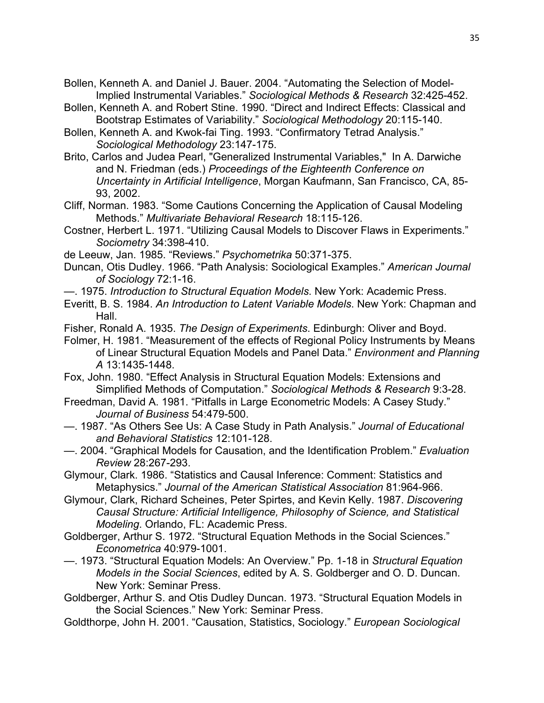- Bollen, Kenneth A. and Daniel J. Bauer. 2004. "Automating the Selection of Model-Implied Instrumental Variables." *Sociological Methods & Research* 32:425-452.
- Bollen, Kenneth A. and Robert Stine. 1990. "Direct and Indirect Effects: Classical and Bootstrap Estimates of Variability." *Sociological Methodology* 20:115-140.
- Bollen, Kenneth A. and Kwok-fai Ting. 1993. "Confirmatory Tetrad Analysis." *Sociological Methodology* 23:147-175.
- Brito, Carlos and Judea Pearl, "Generalized Instrumental Variables," In A. Darwiche and N. Friedman (eds.) *Proceedings of the Eighteenth Conference on Uncertainty in Artificial Intelligence*, Morgan Kaufmann, San Francisco, CA, 85- 93, 2002.
- Cliff, Norman. 1983. "Some Cautions Concerning the Application of Causal Modeling Methods." *Multivariate Behavioral Research* 18:115-126.
- Costner, Herbert L. 1971. "Utilizing Causal Models to Discover Flaws in Experiments." *Sociometry* 34:398-410.
- de Leeuw, Jan. 1985. "Reviews." *Psychometrika* 50:371-375.
- Duncan, Otis Dudley. 1966. "Path Analysis: Sociological Examples." *American Journal of Sociology* 72:1-16.
- —. 1975. *Introduction to Structural Equation Models*. New York: Academic Press.
- Everitt, B. S. 1984. *An Introduction to Latent Variable Models*. New York: Chapman and Hall.
- Fisher, Ronald A. 1935. *The Design of Experiments*. Edinburgh: Oliver and Boyd.
- Folmer, H. 1981. "Measurement of the effects of Regional Policy Instruments by Means of Linear Structural Equation Models and Panel Data." *Environment and Planning A* 13:1435-1448.
- Fox, John. 1980. "Effect Analysis in Structural Equation Models: Extensions and Simplified Methods of Computation." *Sociological Methods & Research* 9:3-28.
- Freedman, David A. 1981. "Pitfalls in Large Econometric Models: A Casey Study." *Journal of Business* 54:479-500.
- —. 1987. "As Others See Us: A Case Study in Path Analysis." *Journal of Educational and Behavioral Statistics* 12:101-128.
- —. 2004. "Graphical Models for Causation, and the Identification Problem." *Evaluation Review* 28:267-293.
- Glymour, Clark. 1986. "Statistics and Causal Inference: Comment: Statistics and Metaphysics." *Journal of the American Statistical Association* 81:964-966.
- Glymour, Clark, Richard Scheines, Peter Spirtes, and Kevin Kelly. 1987. *Discovering Causal Structure: Artificial Intelligence, Philosophy of Science, and Statistical Modeling*. Orlando, FL: Academic Press.
- Goldberger, Arthur S. 1972. "Structural Equation Methods in the Social Sciences." *Econometrica* 40:979-1001.
- —. 1973. "Structural Equation Models: An Overview." Pp. 1-18 in *Structural Equation Models in the Social Sciences*, edited by A. S. Goldberger and O. D. Duncan. New York: Seminar Press.
- Goldberger, Arthur S. and Otis Dudley Duncan. 1973. "Structural Equation Models in the Social Sciences." New York: Seminar Press.
- Goldthorpe, John H. 2001. "Causation, Statistics, Sociology." *European Sociological*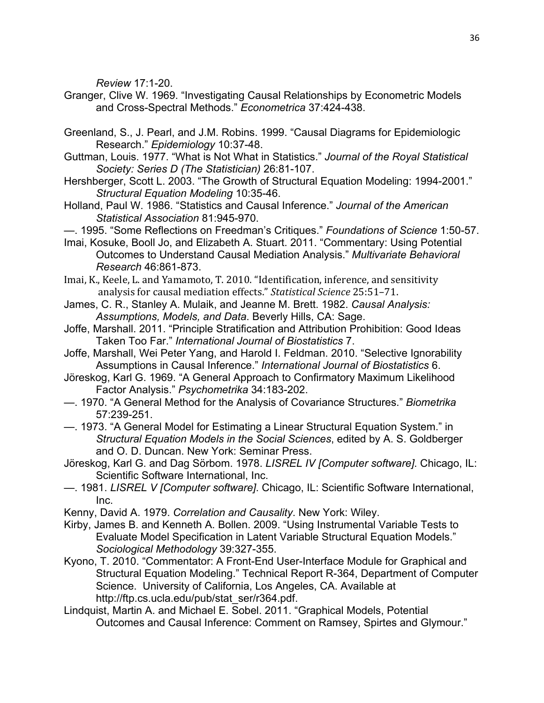*Review* 17:1-20.

- Granger, Clive W. 1969. "Investigating Causal Relationships by Econometric Models and Cross-Spectral Methods." *Econometrica* 37:424-438.
- Greenland, S., J. Pearl, and J.M. Robins. 1999. "Causal Diagrams for Epidemiologic Research." *Epidemiology* 10:37-48.
- Guttman, Louis. 1977. "What is Not What in Statistics." *Journal of the Royal Statistical Society: Series D (The Statistician)* 26:81-107.
- Hershberger, Scott L. 2003. "The Growth of Structural Equation Modeling: 1994-2001." *Structural Equation Modeling* 10:35-46.
- Holland, Paul W. 1986. "Statistics and Causal Inference." *Journal of the American Statistical Association* 81:945-970.
- —. 1995. "Some Reflections on Freedman's Critiques." *Foundations of Science* 1:50-57.
- Imai, Kosuke, Booll Jo, and Elizabeth A. Stuart. 2011. "Commentary: Using Potential Outcomes to Understand Causal Mediation Analysis." *Multivariate Behavioral Research* 46:861-873.
- Imai, K., Keele, L. and Yamamoto, T. 2010. "Identification, inference, and sensitivity analysis for causal mediation effects." *Statistical Science* 25:51–71.
- James, C. R., Stanley A. Mulaik, and Jeanne M. Brett. 1982. *Causal Analysis: Assumptions, Models, and Data*. Beverly Hills, CA: Sage.
- Joffe, Marshall. 2011. "Principle Stratification and Attribution Prohibition: Good Ideas Taken Too Far." *International Journal of Biostatistics* 7.
- Joffe, Marshall, Wei Peter Yang, and Harold I. Feldman. 2010. "Selective Ignorability Assumptions in Causal Inference." *International Journal of Biostatistics* 6.
- Jöreskog, Karl G. 1969. "A General Approach to Confirmatory Maximum Likelihood Factor Analysis." *Psychometrika* 34:183-202.
- —. 1970. "A General Method for the Analysis of Covariance Structures." *Biometrika* 57:239-251.
- —. 1973. "A General Model for Estimating a Linear Structural Equation System." in *Structural Equation Models in the Social Sciences*, edited by A. S. Goldberger and O. D. Duncan. New York: Seminar Press.
- Jöreskog, Karl G. and Dag Sörbom. 1978. *LISREL IV [Computer software]*. Chicago, IL: Scientific Software International, Inc.
- —. 1981. *LISREL V [Computer software]*. Chicago, IL: Scientific Software International, Inc.
- Kenny, David A. 1979. *Correlation and Causality*. New York: Wiley.
- Kirby, James B. and Kenneth A. Bollen. 2009. "Using Instrumental Variable Tests to Evaluate Model Specification in Latent Variable Structural Equation Models." *Sociological Methodology* 39:327-355.
- Kyono, T. 2010. "Commentator: A Front-End User-Interface Module for Graphical and Structural Equation Modeling." Technical Report R-364, Department of Computer Science. University of California, Los Angeles, CA. Available at http://ftp.cs.ucla.edu/pub/stat\_ser/r364.pdf.
- Lindquist, Martin A. and Michael E. Sobel. 2011. "Graphical Models, Potential Outcomes and Causal Inference: Comment on Ramsey, Spirtes and Glymour."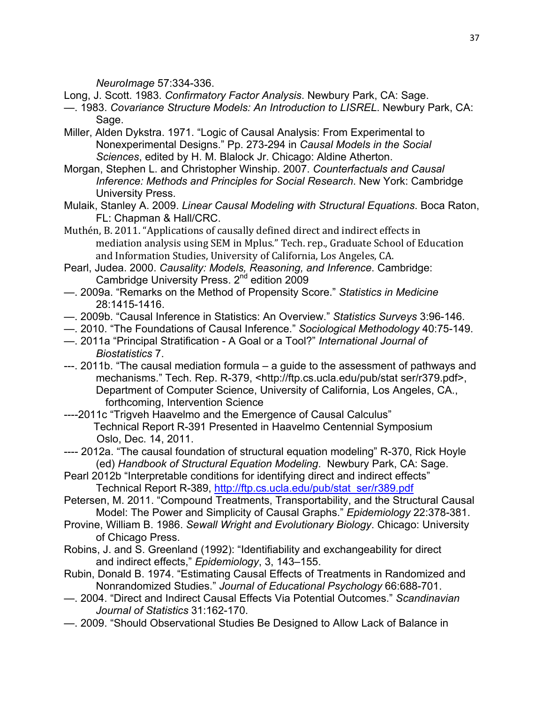*NeuroImage* 57:334-336.

Long, J. Scott. 1983. *Confirmatory Factor Analysis*. Newbury Park, CA: Sage.

—. 1983. *Covariance Structure Models: An Introduction to LISREL*. Newbury Park, CA: Sage.

- Miller, Alden Dykstra. 1971. "Logic of Causal Analysis: From Experimental to Nonexperimental Designs." Pp. 273-294 in *Causal Models in the Social Sciences*, edited by H. M. Blalock Jr. Chicago: Aldine Atherton.
- Morgan, Stephen L. and Christopher Winship. 2007. *Counterfactuals and Causal Inference: Methods and Principles for Social Research*. New York: Cambridge University Press.
- Mulaik, Stanley A. 2009. *Linear Causal Modeling with Structural Equations*. Boca Raton, FL: Chapman & Hall/CRC.
- Muthén, B. 2011. "Applications of causally defined direct and indirect effects in mediation analysis using SEM in Mplus." Tech. rep., Graduate School of Education and Information Studies, University of California, Los Angeles, CA.
- Pearl, Judea. 2000. *Causality: Models, Reasoning, and Inference*. Cambridge: Cambridge University Press. 2<sup>nd</sup> edition 2009
- —. 2009a. "Remarks on the Method of Propensity Score." *Statistics in Medicine* 28:1415-1416.
- —. 2009b. "Causal Inference in Statistics: An Overview." *Statistics Surveys* 3:96-146.
- —. 2010. "The Foundations of Causal Inference." *Sociological Methodology* 40:75-149.
- —. 2011a "Principal Stratification A Goal or a Tool?" *International Journal of Biostatistics* 7.
- ---. 2011b. "The causal mediation formula a guide to the assessment of pathways and mechanisms." Tech. Rep. R-379, <http://ftp.cs.ucla.edu/pub/stat ser/r379.pdf>, Department of Computer Science, University of California, Los Angeles, CA., forthcoming, Intervention Science
- ----2011c "Trigveh Haavelmo and the Emergence of Causal Calculus" Technical Report R-391 Presented in Haavelmo Centennial Symposium Oslo, Dec. 14, 2011.
- ---- 2012a. "The causal foundation of structural equation modeling" R-370, Rick Hoyle (ed) *Handbook of Structural Equation Modeling*. Newbury Park, CA: Sage.
- Pearl 2012b "Interpretable conditions for identifying direct and indirect effects" Technical Report R-389, http://ftp.cs.ucla.edu/pub/stat\_ser/r389.pdf
- Petersen, M. 2011. "Compound Treatments, Transportability, and the Structural Causal Model: The Power and Simplicity of Causal Graphs." *Epidemiology* 22:378-381.
- Provine, William B. 1986. *Sewall Wright and Evolutionary Biology*. Chicago: University of Chicago Press.
- Robins, J. and S. Greenland (1992): "Identifiability and exchangeability for direct and indirect effects," *Epidemiology*, 3, 143–155.
- Rubin, Donald B. 1974. "Estimating Causal Effects of Treatments in Randomized and Nonrandomized Studies." *Journal of Educational Psychology* 66:688-701.
- —. 2004. "Direct and Indirect Causal Effects Via Potential Outcomes." *Scandinavian Journal of Statistics* 31:162-170.
- —. 2009. "Should Observational Studies Be Designed to Allow Lack of Balance in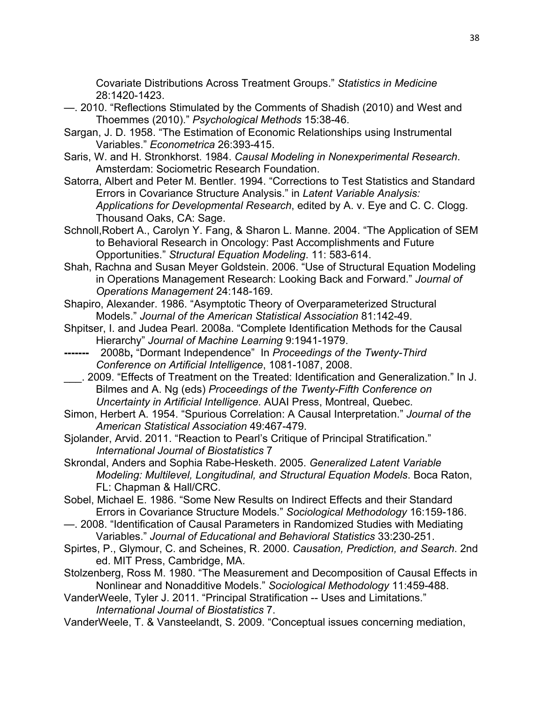Covariate Distributions Across Treatment Groups." *Statistics in Medicine* 28:1420-1423.

- —. 2010. "Reflections Stimulated by the Comments of Shadish (2010) and West and Thoemmes (2010)." *Psychological Methods* 15:38-46.
- Sargan, J. D. 1958. "The Estimation of Economic Relationships using Instrumental Variables." *Econometrica* 26:393-415.
- Saris, W. and H. Stronkhorst. 1984. *Causal Modeling in Nonexperimental Research*. Amsterdam: Sociometric Research Foundation.
- Satorra, Albert and Peter M. Bentler. 1994. "Corrections to Test Statistics and Standard Errors in Covariance Structure Analysis." in *Latent Variable Analysis: Applications for Developmental Research*, edited by A. v. Eye and C. C. Clogg. Thousand Oaks, CA: Sage.
- Schnoll,Robert A., Carolyn Y. Fang, & Sharon L. Manne. 2004. "The Application of SEM to Behavioral Research in Oncology: Past Accomplishments and Future Opportunities." *Structural Equation Modeling*. 11: 583-614.
- Shah, Rachna and Susan Meyer Goldstein. 2006. "Use of Structural Equation Modeling in Operations Management Research: Looking Back and Forward." *Journal of Operations Management* 24:148-169.
- Shapiro, Alexander. 1986. "Asymptotic Theory of Overparameterized Structural Models." *Journal of the American Statistical Association* 81:142-49.
- Shpitser, I. and Judea Pearl. 2008a. "Complete Identification Methods for the Causal Hierarchy" *Journal of Machine Learning* 9:1941-1979.
- **-------** 2008b**,** "Dormant Independence" In *Proceedings of the Twenty-Third Conference on Artificial Intelligence*, 1081-1087, 2008.
- \_\_\_. 2009. "Effects of Treatment on the Treated: Identification and Generalization." In J. Bilmes and A. Ng (eds) *Proceedings of the Twenty-Fifth Conference on Uncertainty in Artificial Intelligence.* AUAI Press, Montreal, Quebec.
- Simon, Herbert A. 1954. "Spurious Correlation: A Causal Interpretation." *Journal of the American Statistical Association* 49:467-479.
- Sjolander, Arvid. 2011. "Reaction to Pearl's Critique of Principal Stratification." *International Journal of Biostatistics* 7
- Skrondal, Anders and Sophia Rabe-Hesketh. 2005. *Generalized Latent Variable Modeling: Multilevel, Longitudinal, and Structural Equation Models*. Boca Raton, FL: Chapman & Hall/CRC.
- Sobel, Michael E. 1986. "Some New Results on Indirect Effects and their Standard Errors in Covariance Structure Models." *Sociological Methodology* 16:159-186.
- —. 2008. "Identification of Causal Parameters in Randomized Studies with Mediating Variables." *Journal of Educational and Behavioral Statistics* 33:230-251.
- Spirtes, P., Glymour, C. and Scheines, R. 2000. *Causation, Prediction, and Search*. 2nd ed. MIT Press, Cambridge, MA.
- Stolzenberg, Ross M. 1980. "The Measurement and Decomposition of Causal Effects in Nonlinear and Nonadditive Models." *Sociological Methodology* 11:459-488.
- VanderWeele, Tyler J. 2011. "Principal Stratification -- Uses and Limitations." *International Journal of Biostatistics* 7.
- VanderWeele, T. & Vansteelandt, S. 2009. "Conceptual issues concerning mediation,